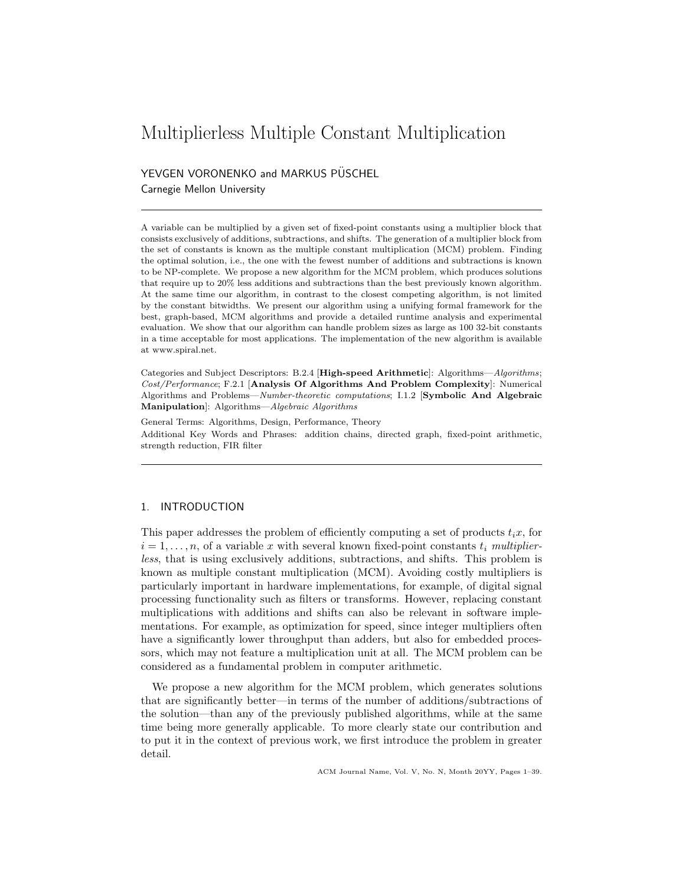# Multiplierless Multiple Constant Multiplication

YEVGEN VORONENKO and MARKUS PÜSCHEL Carnegie Mellon University

A variable can be multiplied by a given set of fixed-point constants using a multiplier block that consists exclusively of additions, subtractions, and shifts. The generation of a multiplier block from the set of constants is known as the multiple constant multiplication (MCM) problem. Finding the optimal solution, i.e., the one with the fewest number of additions and subtractions is known to be NP-complete. We propose a new algorithm for the MCM problem, which produces solutions that require up to 20% less additions and subtractions than the best previously known algorithm. At the same time our algorithm, in contrast to the closest competing algorithm, is not limited by the constant bitwidths. We present our algorithm using a unifying formal framework for the best, graph-based, MCM algorithms and provide a detailed runtime analysis and experimental evaluation. We show that our algorithm can handle problem sizes as large as 100 32-bit constants in a time acceptable for most applications. The implementation of the new algorithm is available at www.spiral.net.

Categories and Subject Descriptors: B.2.4 [High-speed Arithmetic]: Algorithms—Algorithms; Cost/Performance; F.2.1 [Analysis Of Algorithms And Problem Complexity]: Numerical Algorithms and Problems—Number-theoretic computations; I.1.2 [Symbolic And Algebraic Manipulation]: Algorithms—Algebraic Algorithms

General Terms: Algorithms, Design, Performance, Theory Additional Key Words and Phrases: addition chains, directed graph, fixed-point arithmetic, strength reduction, FIR filter

## 1. INTRODUCTION

This paper addresses the problem of efficiently computing a set of products  $t_i$ , for  $i = 1, \ldots, n$ , of a variable x with several known fixed-point constants  $t_i$  multiplierless, that is using exclusively additions, subtractions, and shifts. This problem is known as multiple constant multiplication (MCM). Avoiding costly multipliers is particularly important in hardware implementations, for example, of digital signal processing functionality such as filters or transforms. However, replacing constant multiplications with additions and shifts can also be relevant in software implementations. For example, as optimization for speed, since integer multipliers often have a significantly lower throughput than adders, but also for embedded processors, which may not feature a multiplication unit at all. The MCM problem can be considered as a fundamental problem in computer arithmetic.

We propose a new algorithm for the MCM problem, which generates solutions that are significantly better—in terms of the number of additions/subtractions of the solution—than any of the previously published algorithms, while at the same time being more generally applicable. To more clearly state our contribution and to put it in the context of previous work, we first introduce the problem in greater detail.

ACM Journal Name, Vol. V, No. N, Month 20YY, Pages 1–39.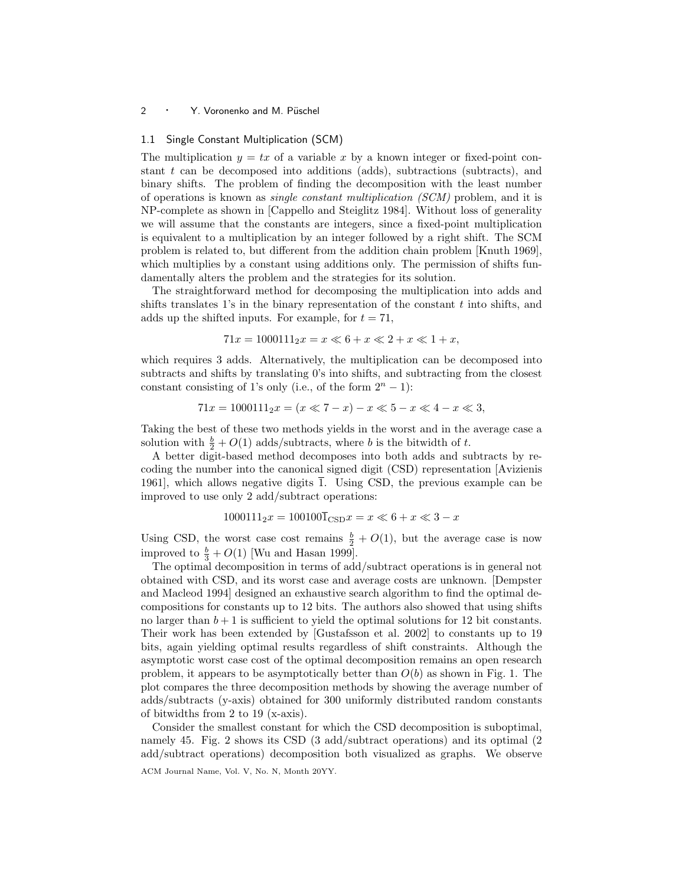## 1.1 Single Constant Multiplication (SCM)

The multiplication  $y = tx$  of a variable x by a known integer or fixed-point constant  $t$  can be decomposed into additions (adds), subtractions (subtracts), and binary shifts. The problem of finding the decomposition with the least number of operations is known as single constant multiplication (SCM) problem, and it is NP-complete as shown in [Cappello and Steiglitz 1984]. Without loss of generality we will assume that the constants are integers, since a fixed-point multiplication is equivalent to a multiplication by an integer followed by a right shift. The SCM problem is related to, but different from the addition chain problem [Knuth 1969], which multiplies by a constant using additions only. The permission of shifts fundamentally alters the problem and the strategies for its solution.

The straightforward method for decomposing the multiplication into adds and shifts translates 1's in the binary representation of the constant  $t$  into shifts, and adds up the shifted inputs. For example, for  $t = 71$ ,

$$
71x = 1000111_2 x = x \ll 6 + x \ll 2 + x \ll 1 + x,
$$

which requires 3 adds. Alternatively, the multiplication can be decomposed into subtracts and shifts by translating 0's into shifts, and subtracting from the closest constant consisting of 1's only (i.e., of the form  $2<sup>n</sup> - 1$ ):

$$
71x = 1000111_2 x = (x \ll 7 - x) - x \ll 5 - x \ll 4 - x \ll 3,
$$

Taking the best of these two methods yields in the worst and in the average case a solution with  $\frac{b}{2} + O(1)$  adds/subtracts, where b is the bitwidth of t.

A better digit-based method decomposes into both adds and subtracts by recoding the number into the canonical signed digit (CSD) representation [Avizienis 1961], which allows negative digits  $\overline{1}$ . Using CSD, the previous example can be improved to use only 2 add/subtract operations:

$$
1000111_2x = 100100\overline{1}_{\text{CSD}}x = x \ll 6 + x \ll 3 - x
$$

Using CSD, the worst case cost remains  $\frac{b}{2} + O(1)$ , but the average case is now improved to  $\frac{b}{3} + O(1)$  [Wu and Hasan 1999].

The optimal decomposition in terms of add/subtract operations is in general not obtained with CSD, and its worst case and average costs are unknown. [Dempster and Macleod 1994] designed an exhaustive search algorithm to find the optimal decompositions for constants up to 12 bits. The authors also showed that using shifts no larger than  $b + 1$  is sufficient to yield the optimal solutions for 12 bit constants. Their work has been extended by [Gustafsson et al. 2002] to constants up to 19 bits, again yielding optimal results regardless of shift constraints. Although the asymptotic worst case cost of the optimal decomposition remains an open research problem, it appears to be asymptotically better than  $O(b)$  as shown in Fig. 1. The plot compares the three decomposition methods by showing the average number of adds/subtracts (y-axis) obtained for 300 uniformly distributed random constants of bitwidths from 2 to 19 (x-axis).

Consider the smallest constant for which the CSD decomposition is suboptimal, namely 45. Fig. 2 shows its CSD (3 add/subtract operations) and its optimal (2 add/subtract operations) decomposition both visualized as graphs. We observe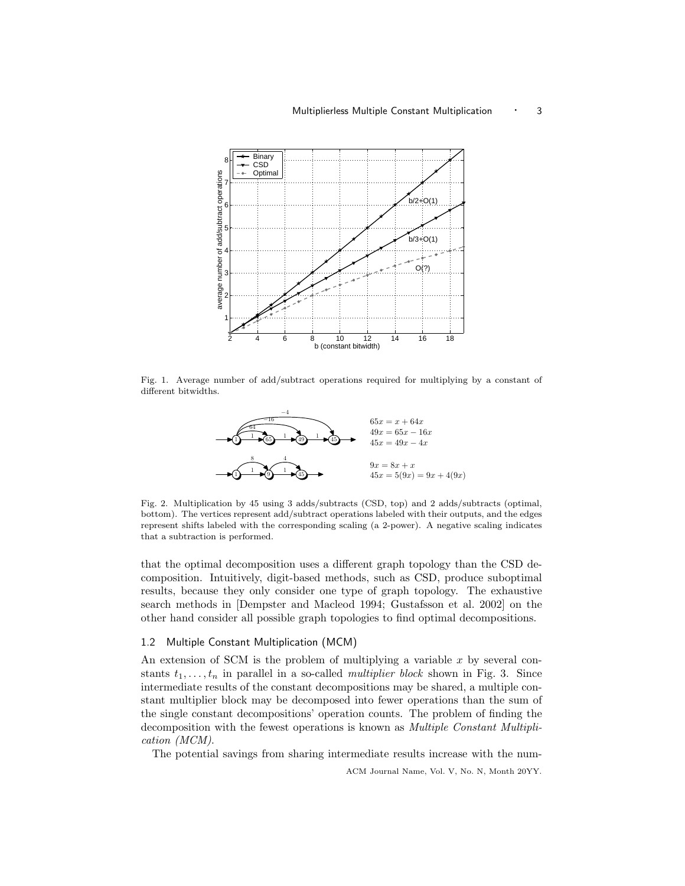

Fig. 1. Average number of add/subtract operations required for multiplying by a constant of different bitwidths.



Fig. 2. Multiplication by 45 using 3 adds/subtracts (CSD, top) and 2 adds/subtracts (optimal, bottom). The vertices represent add/subtract operations labeled with their outputs, and the edges represent shifts labeled with the corresponding scaling (a 2-power). A negative scaling indicates that a subtraction is performed.

that the optimal decomposition uses a different graph topology than the CSD decomposition. Intuitively, digit-based methods, such as CSD, produce suboptimal results, because they only consider one type of graph topology. The exhaustive search methods in [Dempster and Macleod 1994; Gustafsson et al. 2002] on the other hand consider all possible graph topologies to find optimal decompositions.

## 1.2 Multiple Constant Multiplication (MCM)

An extension of SCM is the problem of multiplying a variable  $x$  by several constants  $t_1, \ldots, t_n$  in parallel in a so-called *multiplier block* shown in Fig. 3. Since intermediate results of the constant decompositions may be shared, a multiple constant multiplier block may be decomposed into fewer operations than the sum of the single constant decompositions' operation counts. The problem of finding the decomposition with the fewest operations is known as Multiple Constant Multiplication (MCM).

The potential savings from sharing intermediate results increase with the num-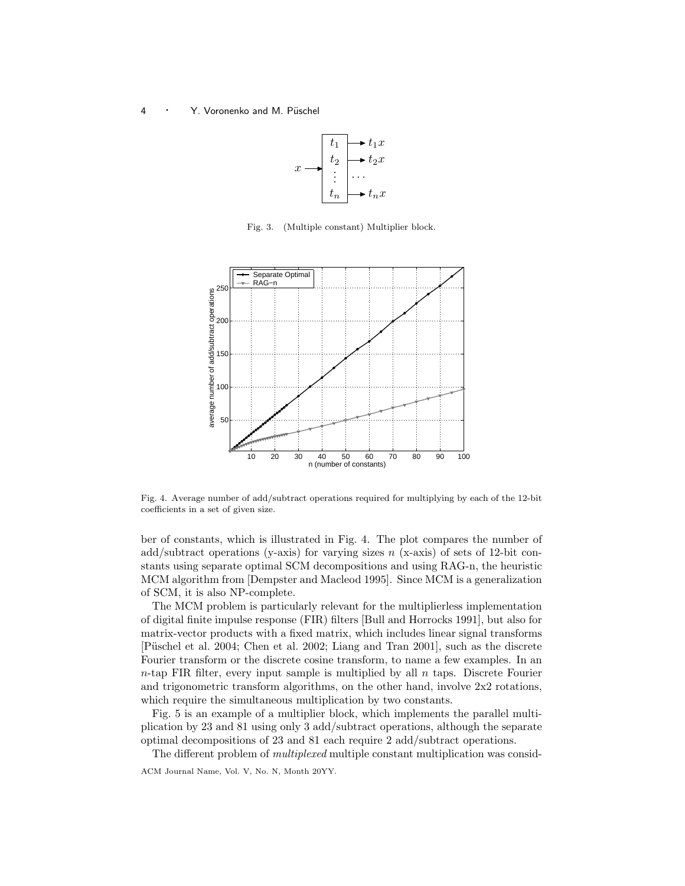

Fig. 3. (Multiple constant) Multiplier block.



Fig. 4. Average number of add/subtract operations required for multiplying by each of the 12-bit coefficients in a set of given size.

ber of constants, which is illustrated in Fig. 4. The plot compares the number of add/subtract operations (y-axis) for varying sizes  $n$  (x-axis) of sets of 12-bit constants using separate optimal SCM decompositions and using RAG-n, the heuristic MCM algorithm from [Dempster and Macleod 1995]. Since MCM is a generalization of SCM, it is also NP-complete.

The MCM problem is particularly relevant for the multiplierless implementation of digital finite impulse response (FIR) filters [Bull and Horrocks 1991], but also for matrix-vector products with a fixed matrix, which includes linear signal transforms [Püschel et al. 2004; Chen et al. 2002; Liang and Tran 2001], such as the discrete Fourier transform or the discrete cosine transform, to name a few examples. In an  $n$ -tap FIR filter, every input sample is multiplied by all  $n$  taps. Discrete Fourier and trigonometric transform algorithms, on the other hand, involve 2x2 rotations, which require the simultaneous multiplication by two constants.

Fig. 5 is an example of a multiplier block, which implements the parallel multiplication by 23 and 81 using only 3 add/subtract operations, although the separate optimal decompositions of 23 and 81 each require 2 add/subtract operations.

The different problem of multiplexed multiple constant multiplication was consid-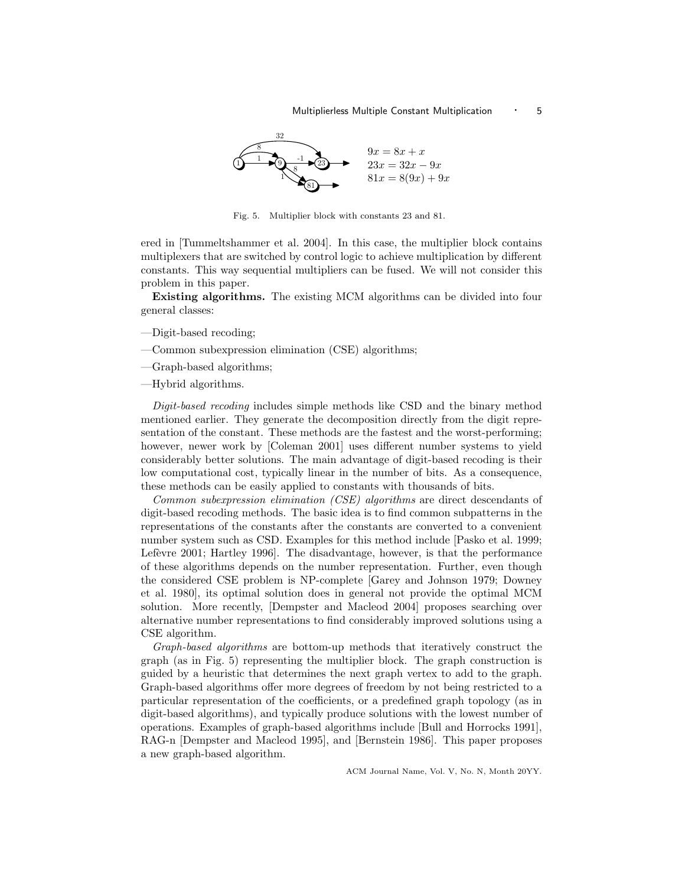

Fig. 5. Multiplier block with constants 23 and 81.

ered in [Tummeltshammer et al. 2004]. In this case, the multiplier block contains multiplexers that are switched by control logic to achieve multiplication by different constants. This way sequential multipliers can be fused. We will not consider this problem in this paper.

Existing algorithms. The existing MCM algorithms can be divided into four general classes:

- —Digit-based recoding;
- —Common subexpression elimination (CSE) algorithms;
- —Graph-based algorithms;

—Hybrid algorithms.

Digit-based recoding includes simple methods like CSD and the binary method mentioned earlier. They generate the decomposition directly from the digit representation of the constant. These methods are the fastest and the worst-performing; however, newer work by [Coleman 2001] uses different number systems to yield considerably better solutions. The main advantage of digit-based recoding is their low computational cost, typically linear in the number of bits. As a consequence, these methods can be easily applied to constants with thousands of bits.

Common subexpression elimination (CSE) algorithms are direct descendants of digit-based recoding methods. The basic idea is to find common subpatterns in the representations of the constants after the constants are converted to a convenient number system such as CSD. Examples for this method include [Pasko et al. 1999; Lefèvre 2001; Hartley 1996. The disadvantage, however, is that the performance of these algorithms depends on the number representation. Further, even though the considered CSE problem is NP-complete [Garey and Johnson 1979; Downey et al. 1980], its optimal solution does in general not provide the optimal MCM solution. More recently, [Dempster and Macleod 2004] proposes searching over alternative number representations to find considerably improved solutions using a CSE algorithm.

Graph-based algorithms are bottom-up methods that iteratively construct the graph (as in Fig. 5) representing the multiplier block. The graph construction is guided by a heuristic that determines the next graph vertex to add to the graph. Graph-based algorithms offer more degrees of freedom by not being restricted to a particular representation of the coefficients, or a predefined graph topology (as in digit-based algorithms), and typically produce solutions with the lowest number of operations. Examples of graph-based algorithms include [Bull and Horrocks 1991], RAG-n [Dempster and Macleod 1995], and [Bernstein 1986]. This paper proposes a new graph-based algorithm.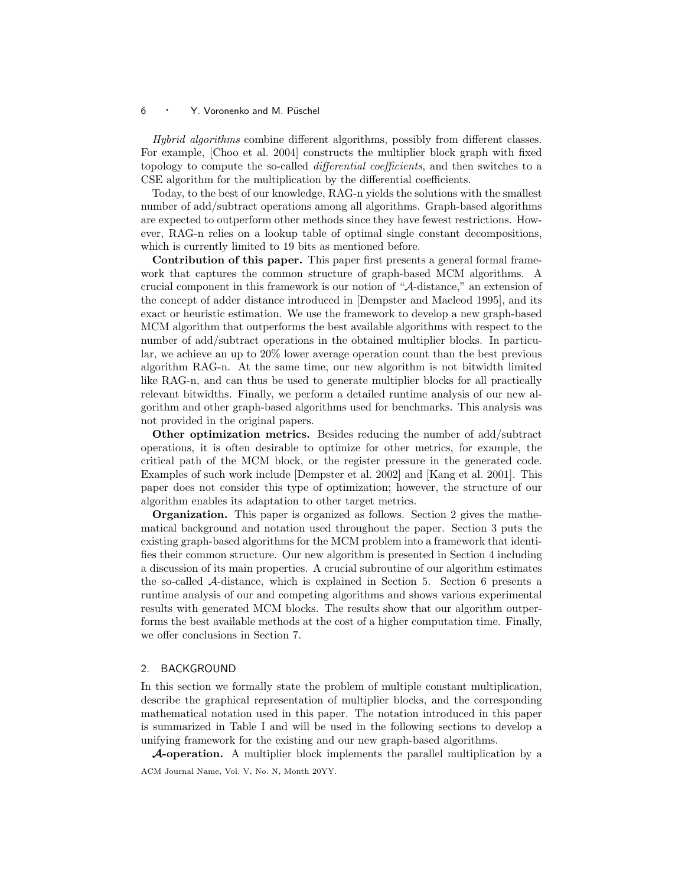Hybrid algorithms combine different algorithms, possibly from different classes. For example, [Choo et al. 2004] constructs the multiplier block graph with fixed topology to compute the so-called *differential coefficients*, and then switches to a CSE algorithm for the multiplication by the differential coefficients.

Today, to the best of our knowledge, RAG-n yields the solutions with the smallest number of add/subtract operations among all algorithms. Graph-based algorithms are expected to outperform other methods since they have fewest restrictions. However, RAG-n relies on a lookup table of optimal single constant decompositions, which is currently limited to 19 bits as mentioned before.

Contribution of this paper. This paper first presents a general formal framework that captures the common structure of graph-based MCM algorithms. A crucial component in this framework is our notion of "A-distance," an extension of the concept of adder distance introduced in [Dempster and Macleod 1995], and its exact or heuristic estimation. We use the framework to develop a new graph-based MCM algorithm that outperforms the best available algorithms with respect to the number of add/subtract operations in the obtained multiplier blocks. In particular, we achieve an up to 20% lower average operation count than the best previous algorithm RAG-n. At the same time, our new algorithm is not bitwidth limited like RAG-n, and can thus be used to generate multiplier blocks for all practically relevant bitwidths. Finally, we perform a detailed runtime analysis of our new algorithm and other graph-based algorithms used for benchmarks. This analysis was not provided in the original papers.

Other optimization metrics. Besides reducing the number of add/subtract operations, it is often desirable to optimize for other metrics, for example, the critical path of the MCM block, or the register pressure in the generated code. Examples of such work include [Dempster et al. 2002] and [Kang et al. 2001]. This paper does not consider this type of optimization; however, the structure of our algorithm enables its adaptation to other target metrics.

Organization. This paper is organized as follows. Section 2 gives the mathematical background and notation used throughout the paper. Section 3 puts the existing graph-based algorithms for the MCM problem into a framework that identifies their common structure. Our new algorithm is presented in Section 4 including a discussion of its main properties. A crucial subroutine of our algorithm estimates the so-called A-distance, which is explained in Section 5. Section 6 presents a runtime analysis of our and competing algorithms and shows various experimental results with generated MCM blocks. The results show that our algorithm outperforms the best available methods at the cost of a higher computation time. Finally, we offer conclusions in Section 7.

## 2. BACKGROUND

In this section we formally state the problem of multiple constant multiplication, describe the graphical representation of multiplier blocks, and the corresponding mathematical notation used in this paper. The notation introduced in this paper is summarized in Table I and will be used in the following sections to develop a unifying framework for the existing and our new graph-based algorithms.

A-operation. A multiplier block implements the parallel multiplication by a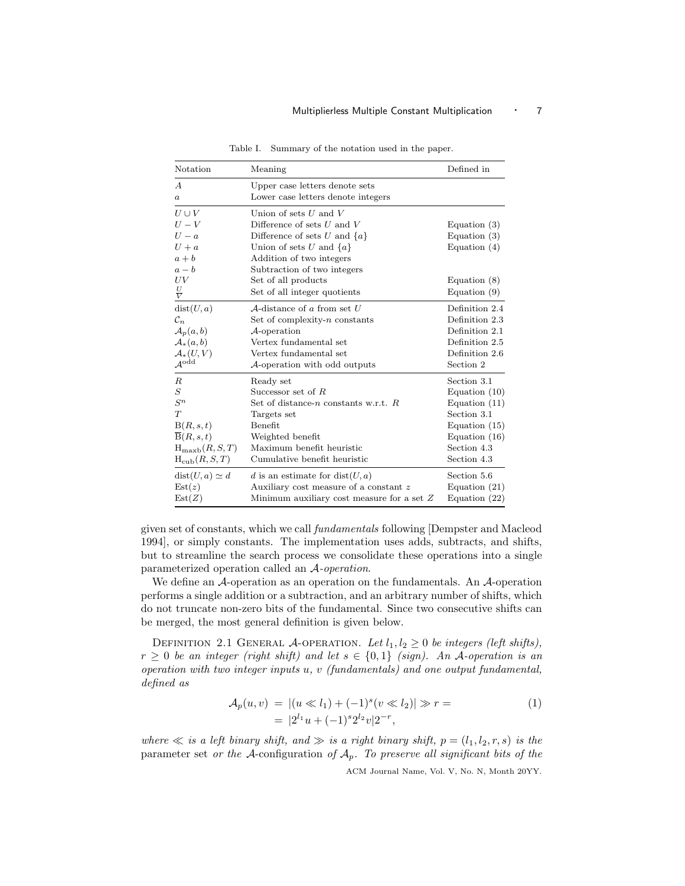| Notation                   | Meaning                                        | Defined in      |
|----------------------------|------------------------------------------------|-----------------|
| $\overline{A}$             | Upper case letters denote sets                 |                 |
| a                          | Lower case letters denote integers             |                 |
| $U \cup V$                 | Union of sets $U$ and $V$                      |                 |
| $U-V$                      | Difference of sets $U$ and $V$                 | Equation $(3)$  |
| $U-a$                      | Difference of sets U and $\{a\}$               | Equation $(3)$  |
| $U + a$                    | Union of sets U and $\{a\}$                    | Equation $(4)$  |
| $a + b$                    | Addition of two integers                       |                 |
| $a-b$                      | Subtraction of two integers                    |                 |
| UV                         | Set of all products                            | Equation $(8)$  |
| $\frac{U}{V}$              | Set of all integer quotients                   | Equation $(9)$  |
| dist(U, a)                 | A-distance of a from set $U$                   | Definition 2.4  |
| $\mathcal{C}_n$            | Set of complexity- $n$ constants               | Definition 2.3  |
| $\mathcal{A}_p(a,b)$       | $A$ -operation                                 | Definition 2.1  |
| $\mathcal{A}_*(a,b)$       | Vertex fundamental set                         | Definition 2.5  |
| $\mathcal{A}_*(U,V)$       | Vertex fundamental set                         | Definition 2.6  |
| $\mathcal{A}^{\text{odd}}$ | A-operation with odd outputs                   | Section 2       |
| $_{R}$                     | Ready set                                      | Section 3.1     |
| $\boldsymbol{S}$           | Successor set of $R$                           | Equation $(10)$ |
| $S^n$                      | Set of distance- <i>n</i> constants w.r.t. $R$ | Equation $(11)$ |
| T                          | Targets set                                    | Section 3.1     |
| B(R, s, t)                 | Benefit                                        | Equation $(15)$ |
| $\overline{B}(R,s,t)$      | Weighted benefit                               | Equation $(16)$ |
| $H_{\text{maxb}}(R, S, T)$ | Maximum benefit heuristic                      | Section 4.3     |
| $H_{\rm cub}(R, S, T)$     | Cumulative benefit heuristic                   | Section 4.3     |
| $dist(U, a) \simeq d$      | d is an estimate for $dist(U, a)$              | Section 5.6     |
| Est(z)                     | Auxiliary cost measure of a constant z         | Equation $(21)$ |
| Est(Z)                     | Minimum auxiliary cost measure for a set $Z$   | Equation $(22)$ |

Table I. Summary of the notation used in the paper.

given set of constants, which we call fundamentals following [Dempster and Macleod 1994], or simply constants. The implementation uses adds, subtracts, and shifts, but to streamline the search process we consolidate these operations into a single parameterized operation called an A-operation.

We define an A-operation as an operation on the fundamentals. An A-operation performs a single addition or a subtraction, and an arbitrary number of shifts, which do not truncate non-zero bits of the fundamental. Since two consecutive shifts can be merged, the most general definition is given below.

DEFINITION 2.1 GENERAL A-OPERATION. Let  $l_1, l_2 \geq 0$  be integers (left shifts),  $r \geq 0$  be an integer (right shift) and let  $s \in \{0,1\}$  (sign). An A-operation is an operation with two integer inputs  $u, v$  (fundamentals) and one output fundamental, defined as

$$
\mathcal{A}_p(u, v) = |(u \ll l_1) + (-1)^s (v \ll l_2)| \gg r =
$$
  
=  $|2^{l_1}u + (-1)^s 2^{l_2}v|2^{-r},$  (1)

where  $\ll$  is a left binary shift, and  $\gg$  is a right binary shift,  $p = (l_1, l_2, r, s)$  is the parameter set or the A-configuration of  $A_p$ . To preserve all significant bits of the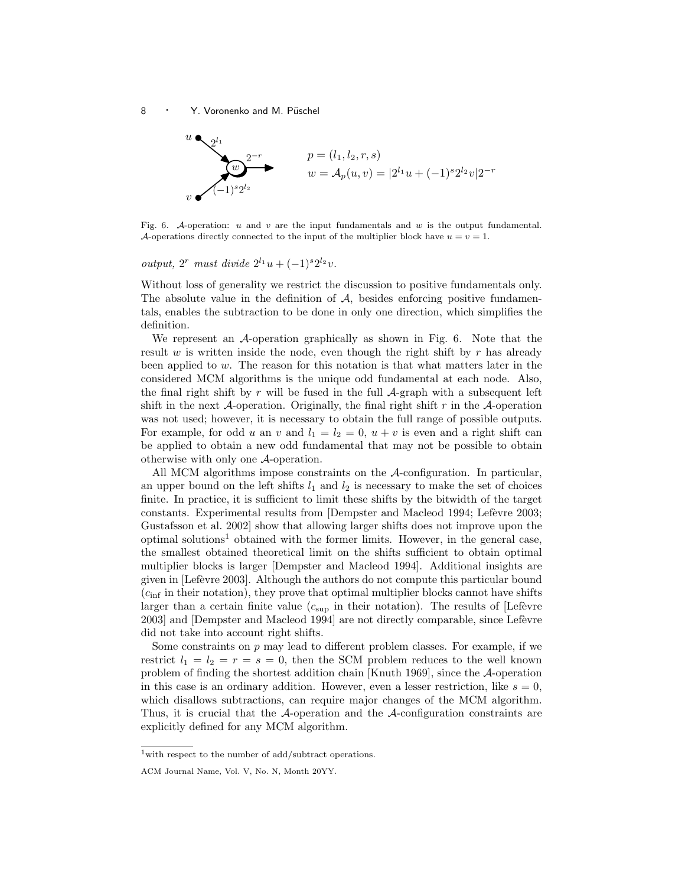

Fig. 6. A-operation: u and v are the input fundamentals and w is the output fundamental. A-operations directly connected to the input of the multiplier block have  $u = v = 1$ .

# *output*,  $2^r$  must divide  $2^{l_1}u + (-1)^s 2^{l_2}v$ .

Without loss of generality we restrict the discussion to positive fundamentals only. The absolute value in the definition of  $A$ , besides enforcing positive fundamentals, enables the subtraction to be done in only one direction, which simplifies the definition.

We represent an A-operation graphically as shown in Fig. 6. Note that the result w is written inside the node, even though the right shift by  $r$  has already been applied to  $w$ . The reason for this notation is that what matters later in the considered MCM algorithms is the unique odd fundamental at each node. Also, the final right shift by r will be fused in the full  $\mathcal{A}$ -graph with a subsequent left shift in the next  $\mathcal{A}$ -operation. Originally, the final right shift r in the  $\mathcal{A}$ -operation was not used; however, it is necessary to obtain the full range of possible outputs. For example, for odd u an v and  $l_1 = l_2 = 0$ ,  $u + v$  is even and a right shift can be applied to obtain a new odd fundamental that may not be possible to obtain otherwise with only one A-operation.

All MCM algorithms impose constraints on the A-configuration. In particular, an upper bound on the left shifts  $l_1$  and  $l_2$  is necessary to make the set of choices finite. In practice, it is sufficient to limit these shifts by the bitwidth of the target constants. Experimental results from [Dempster and Macleod 1994; Lefèvre 2003; Gustafsson et al. 2002] show that allowing larger shifts does not improve upon the optimal solutions<sup>1</sup> obtained with the former limits. However, in the general case, the smallest obtained theoretical limit on the shifts sufficient to obtain optimal multiplier blocks is larger [Dempster and Macleod 1994]. Additional insights are given in [Lef`evre 2003]. Although the authors do not compute this particular bound  $(c_{\text{inf}}$  in their notation), they prove that optimal multiplier blocks cannot have shifts larger than a certain finite value  $(c_{\text{sup}})$  in their notation). The results of [Lefèvre 2003] and [Dempster and Macleod 1994] are not directly comparable, since Lefèvre did not take into account right shifts.

Some constraints on  $p$  may lead to different problem classes. For example, if we restrict  $l_1 = l_2 = r = s = 0$ , then the SCM problem reduces to the well known problem of finding the shortest addition chain [Knuth 1969], since the A-operation in this case is an ordinary addition. However, even a lesser restriction, like  $s = 0$ , which disallows subtractions, can require major changes of the MCM algorithm. Thus, it is crucial that the A-operation and the A-configuration constraints are explicitly defined for any MCM algorithm.

 $1$  with respect to the number of add/subtract operations.

ACM Journal Name, Vol. V, No. N, Month 20YY.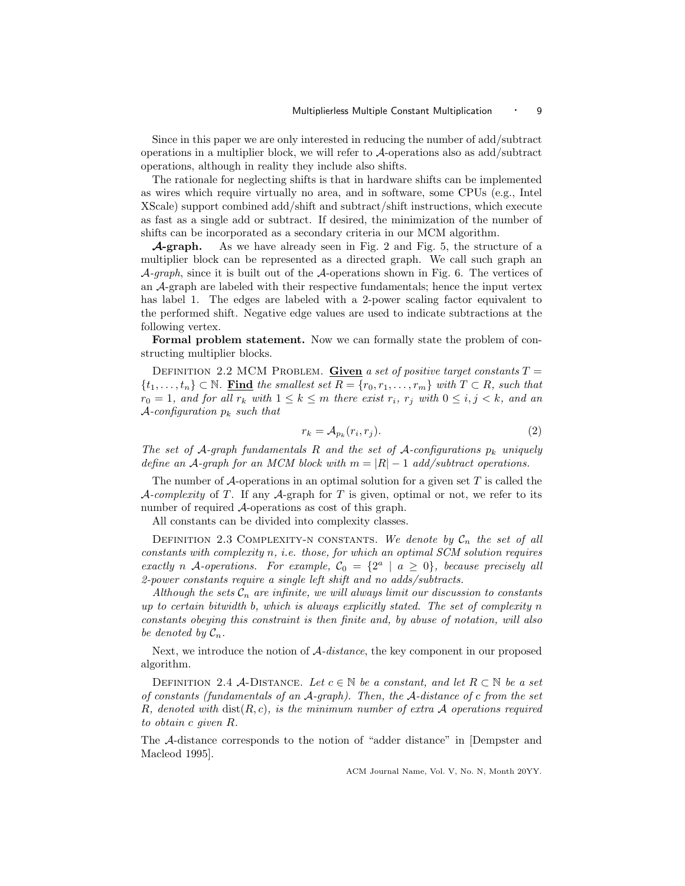Since in this paper we are only interested in reducing the number of add/subtract operations in a multiplier block, we will refer to A-operations also as add/subtract operations, although in reality they include also shifts.

The rationale for neglecting shifts is that in hardware shifts can be implemented as wires which require virtually no area, and in software, some CPUs (e.g., Intel XScale) support combined add/shift and subtract/shift instructions, which execute as fast as a single add or subtract. If desired, the minimization of the number of shifts can be incorporated as a secondary criteria in our MCM algorithm.

**A-graph.** As we have already seen in Fig. 2 and Fig. 5, the structure of a multiplier block can be represented as a directed graph. We call such graph an  $\mathcal{A}$ -graph, since it is built out of the  $\mathcal{A}$ -operations shown in Fig. 6. The vertices of an A-graph are labeled with their respective fundamentals; hence the input vertex has label 1. The edges are labeled with a 2-power scaling factor equivalent to the performed shift. Negative edge values are used to indicate subtractions at the following vertex.

Formal problem statement. Now we can formally state the problem of constructing multiplier blocks.

DEFINITION 2.2 MCM PROBLEM. Given a set of positive target constants  $T =$  $\{t_1,\ldots,t_n\} \subset \mathbb{N}$ . Find the smallest set  $R = \{r_0,r_1,\ldots,r_m\}$  with  $T \subset R$ , such that  $r_0 = 1$ , and for all  $r_k$  with  $1 \leq k \leq m$  there exist  $r_i$ ,  $r_j$  with  $0 \leq i, j < k$ , and an A-configuration  $p_k$  such that

$$
r_k = \mathcal{A}_{p_k}(r_i, r_j). \tag{2}
$$

The set of A-graph fundamentals R and the set of A-configurations  $p_k$  uniquely define an A-graph for an MCM block with  $m = |R| - 1$  add/subtract operations.

The number of  $\mathcal A$ -operations in an optimal solution for a given set T is called the A-complexity of T. If any A-graph for T is given, optimal or not, we refer to its number of required A-operations as cost of this graph.

All constants can be divided into complexity classes.

DEFINITION 2.3 COMPLEXITY-N CONSTANTS. We denote by  $C_n$  the set of all constants with complexity n, i.e. those, for which an optimal SCM solution requires exactly n A-operations. For example,  $C_0 = \{2^a \mid a \ge 0\}$ , because precisely all 2-power constants require a single left shift and no adds/subtracts.

Although the sets  $\mathcal{C}_n$  are infinite, we will always limit our discussion to constants up to certain bitwidth b, which is always explicitly stated. The set of complexity  $n$ constants obeying this constraint is then finite and, by abuse of notation, will also be denoted by  $\mathcal{C}_n$ .

Next, we introduce the notion of  $A$ -distance, the key component in our proposed algorithm.

DEFINITION 2.4 A-DISTANCE. Let  $c \in \mathbb{N}$  be a constant, and let  $R \subset \mathbb{N}$  be a set of constants (fundamentals of an  $A$ -graph). Then, the  $A$ -distance of c from the set R, denoted with  $dist(R, c)$ , is the minimum number of extra A operations required to obtain c given R.

The A-distance corresponds to the notion of "adder distance" in [Dempster and Macleod 1995].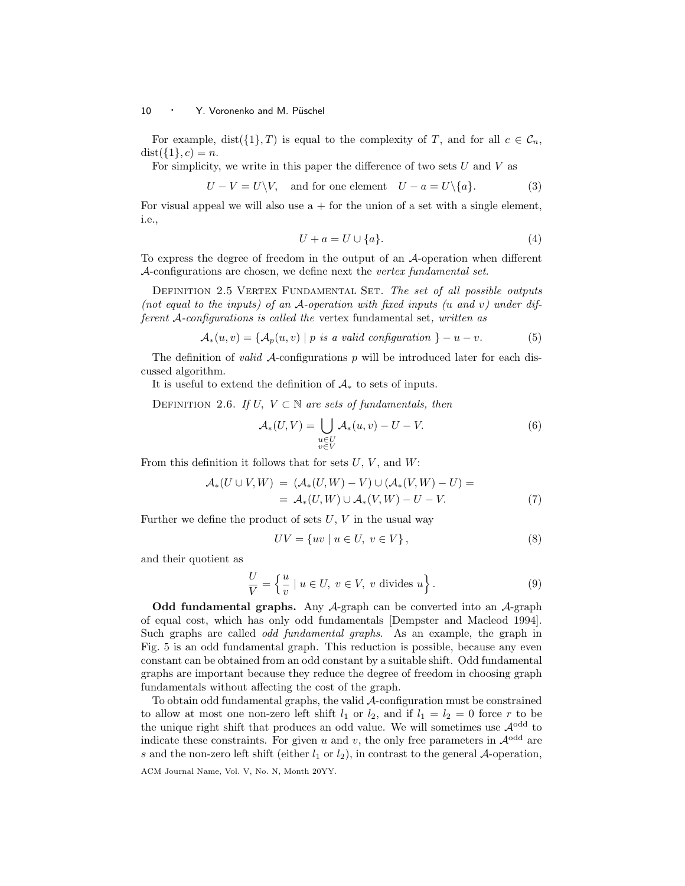For example,  $dist({1}, T)$  is equal to the complexity of T, and for all  $c \in C_n$ ,  $dist({1}, c) = n.$ 

For simplicity, we write in this paper the difference of two sets  $U$  and  $V$  as

$$
U - V = U \backslash V, \text{ and for one element } U - a = U \backslash \{a\}. \tag{3}
$$

For visual appeal we will also use  $a +$  for the union of a set with a single element, i.e.,

$$
U + a = U \cup \{a\}.\tag{4}
$$

To express the degree of freedom in the output of an A-operation when different A-configurations are chosen, we define next the vertex fundamental set.

DEFINITION 2.5 VERTEX FUNDAMENTAL SET. The set of all possible outputs (not equal to the inputs) of an  $A$ -operation with fixed inputs (u and v) under different A-configurations is called the vertex fundamental set, written as

$$
\mathcal{A}_{*}(u,v) = \{ \mathcal{A}_{p}(u,v) \mid p \text{ is a valid configuration } \} - u - v. \tag{5}
$$

The definition of *valid A*-configurations  $p$  will be introduced later for each discussed algorithm.

It is useful to extend the definition of  $A_*$  to sets of inputs.

DEFINITION 2.6. If  $U, V \subset \mathbb{N}$  are sets of fundamentals, then

$$
\mathcal{A}_*(U,V) = \bigcup_{\substack{u \in U \\ v \in V}} \mathcal{A}_*(u,v) - U - V. \tag{6}
$$

From this definition it follows that for sets  $U, V$ , and  $W$ :

$$
\mathcal{A}_*(U \cup V, W) = (\mathcal{A}_*(U, W) - V) \cup (\mathcal{A}_*(V, W) - U) = \n= \mathcal{A}_*(U, W) \cup \mathcal{A}_*(V, W) - U - V.
$$
\n(7)

Further we define the product of sets  $U, V$  in the usual way

$$
UV = \{uv \mid u \in U, v \in V\},\tag{8}
$$

and their quotient as

$$
\frac{U}{V} = \left\{ \frac{u}{v} \mid u \in U, \ v \in V, \ v \text{ divides } u \right\}.
$$
\n
$$
(9)
$$

Odd fundamental graphs. Any  $A$ -graph can be converted into an  $A$ -graph of equal cost, which has only odd fundamentals [Dempster and Macleod 1994]. Such graphs are called odd fundamental graphs. As an example, the graph in Fig. 5 is an odd fundamental graph. This reduction is possible, because any even constant can be obtained from an odd constant by a suitable shift. Odd fundamental graphs are important because they reduce the degree of freedom in choosing graph fundamentals without affecting the cost of the graph.

To obtain odd fundamental graphs, the valid A-configuration must be constrained to allow at most one non-zero left shift  $l_1$  or  $l_2$ , and if  $l_1 = l_2 = 0$  force r to be the unique right shift that produces an odd value. We will sometimes use  $\mathcal{A}^{\text{odd}}$  to indicate these constraints. For given u and v, the only free parameters in  $\mathcal{A}^{\text{odd}}$  are s and the non-zero left shift (either  $l_1$  or  $l_2$ ), in contrast to the general A-operation,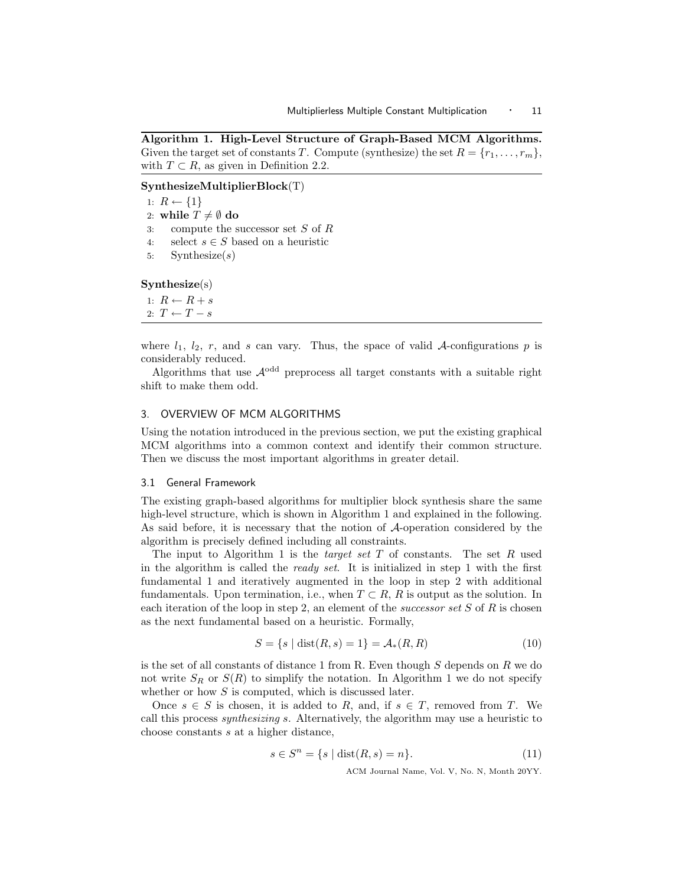Algorithm 1. High-Level Structure of Graph-Based MCM Algorithms. Given the target set of constants T. Compute (synthesize) the set  $R = \{r_1, \ldots, r_m\}$ , with  $T \subset R$ , as given in Definition 2.2.

SynthesizeMultiplierBlock(T)

1:  $R \leftarrow \{1\}$ 2: while  $T \neq \emptyset$  do 3: compute the successor set S of R 4: select  $s \in S$  based on a heuristic 5: Synthesize $(s)$ Synthesize(s)

1:  $R \leftarrow R + s$ 2:  $T \leftarrow T - s$ 

where  $l_1$ ,  $l_2$ , r, and s can vary. Thus, the space of valid A-configurations p is considerably reduced.

Algorithms that use  $\mathcal{A}^{\text{odd}}$  preprocess all target constants with a suitable right shift to make them odd.

# 3. OVERVIEW OF MCM ALGORITHMS

Using the notation introduced in the previous section, we put the existing graphical MCM algorithms into a common context and identify their common structure. Then we discuss the most important algorithms in greater detail.

## 3.1 General Framework

The existing graph-based algorithms for multiplier block synthesis share the same high-level structure, which is shown in Algorithm 1 and explained in the following. As said before, it is necessary that the notion of A-operation considered by the algorithm is precisely defined including all constraints.

The input to Algorithm 1 is the *target set*  $T$  of constants. The set  $R$  used in the algorithm is called the ready set. It is initialized in step 1 with the first fundamental 1 and iteratively augmented in the loop in step 2 with additional fundamentals. Upon termination, i.e., when  $T \subset R$ , R is output as the solution. In each iteration of the loop in step 2, an element of the *successor set*  $S$  of  $R$  is chosen as the next fundamental based on a heuristic. Formally,

$$
S = \{s \mid \text{dist}(R, s) = 1\} = \mathcal{A}_*(R, R) \tag{10}
$$

is the set of all constants of distance 1 from R. Even though  $S$  depends on  $R$  we do not write  $S_R$  or  $S(R)$  to simplify the notation. In Algorithm 1 we do not specify whether or how  $S$  is computed, which is discussed later.

Once  $s \in S$  is chosen, it is added to R, and, if  $s \in T$ , removed from T. We call this process synthesizing s. Alternatively, the algorithm may use a heuristic to choose constants s at a higher distance,

$$
s \in S^n = \{ s \mid \text{dist}(R, s) = n \}. \tag{11}
$$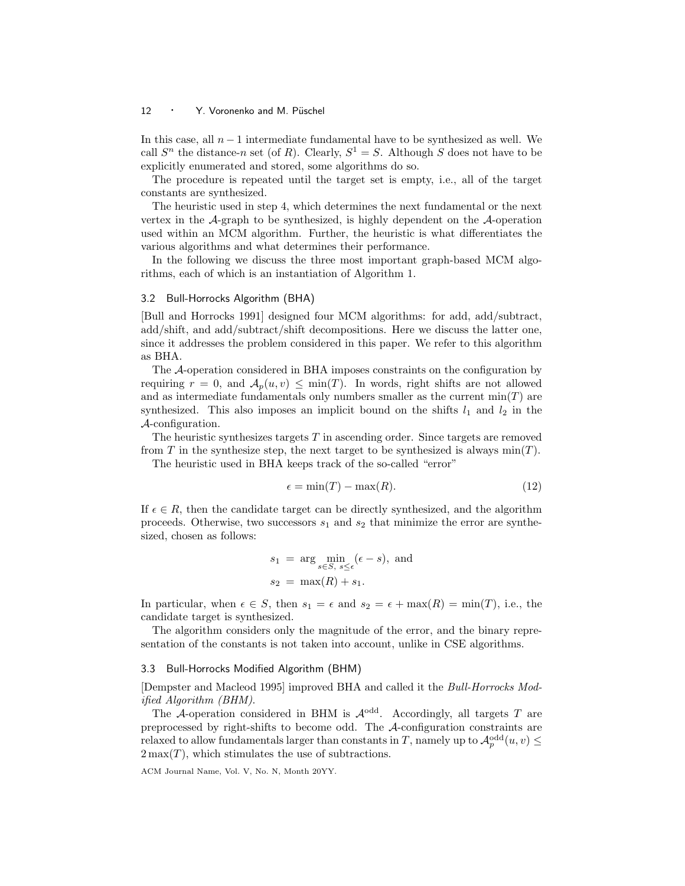In this case, all  $n-1$  intermediate fundamental have to be synthesized as well. We call  $S<sup>n</sup>$  the distance-n set (of R). Clearly,  $S<sup>1</sup> = S$ . Although S does not have to be explicitly enumerated and stored, some algorithms do so.

The procedure is repeated until the target set is empty, i.e., all of the target constants are synthesized.

The heuristic used in step 4, which determines the next fundamental or the next vertex in the  $\mathcal{A}$ -graph to be synthesized, is highly dependent on the  $\mathcal{A}$ -operation used within an MCM algorithm. Further, the heuristic is what differentiates the various algorithms and what determines their performance.

In the following we discuss the three most important graph-based MCM algorithms, each of which is an instantiation of Algorithm 1.

## 3.2 Bull-Horrocks Algorithm (BHA)

[Bull and Horrocks 1991] designed four MCM algorithms: for add, add/subtract, add/shift, and add/subtract/shift decompositions. Here we discuss the latter one, since it addresses the problem considered in this paper. We refer to this algorithm as BHA.

The A-operation considered in BHA imposes constraints on the configuration by requiring  $r = 0$ , and  $\mathcal{A}_n(u, v) \leq \min(T)$ . In words, right shifts are not allowed and as intermediate fundamentals only numbers smaller as the current  $min(T)$  are synthesized. This also imposes an implicit bound on the shifts  $l_1$  and  $l_2$  in the A-configuration.

The heuristic synthesizes targets  $T$  in ascending order. Since targets are removed from T in the synthesize step, the next target to be synthesized is always  $\min(T)$ .

The heuristic used in BHA keeps track of the so-called "error"

$$
\epsilon = \min(T) - \max(R). \tag{12}
$$

If  $\epsilon \in R$ , then the candidate target can be directly synthesized, and the algorithm proceeds. Otherwise, two successors  $s_1$  and  $s_2$  that minimize the error are synthesized, chosen as follows:

$$
s_1 = \arg\min_{s \in S, s \le \epsilon} (\epsilon - s), \text{ and}
$$

$$
s_2 = \max(R) + s_1.
$$

In particular, when  $\epsilon \in S$ , then  $s_1 = \epsilon$  and  $s_2 = \epsilon + \max(R) = \min(T)$ , i.e., the candidate target is synthesized.

The algorithm considers only the magnitude of the error, and the binary representation of the constants is not taken into account, unlike in CSE algorithms.

## 3.3 Bull-Horrocks Modified Algorithm (BHM)

[Dempster and Macleod 1995] improved BHA and called it the Bull-Horrocks Modified Algorithm (BHM).

The A-operation considered in BHM is  $\mathcal{A}^{\text{odd}}$ . Accordingly, all targets T are preprocessed by right-shifts to become odd. The A-configuration constraints are relaxed to allow fundamentals larger than constants in T, namely up to  $\mathcal{A}_p^{\text{odd}}(u, v) \leq$  $2\max(T)$ , which stimulates the use of subtractions.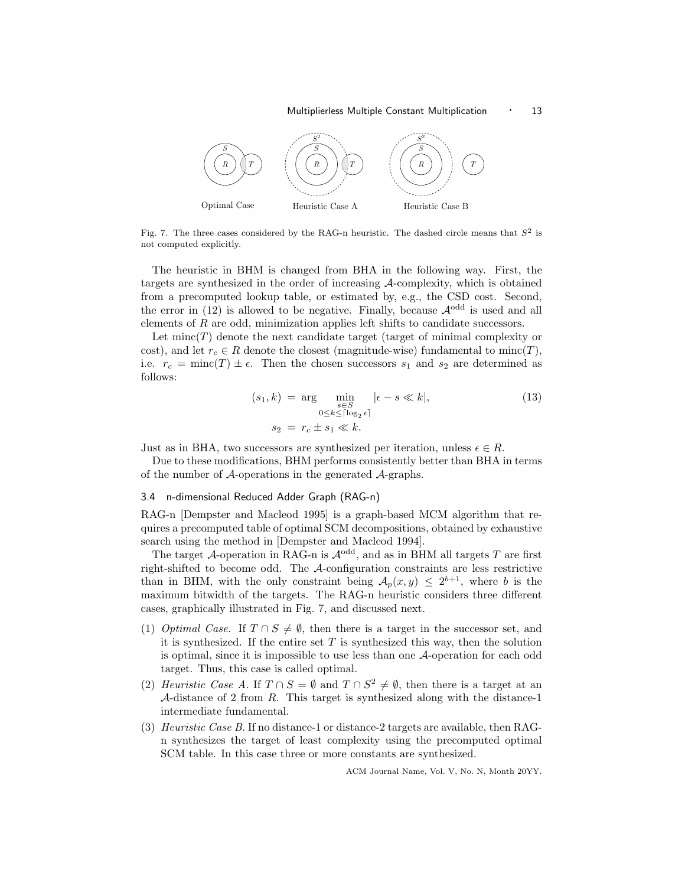#### Multiplierless Multiple Constant Multiplication • 13



Fig. 7. The three cases considered by the RAG-n heuristic. The dashed circle means that  $S^2$  is not computed explicitly.

The heuristic in BHM is changed from BHA in the following way. First, the targets are synthesized in the order of increasing A-complexity, which is obtained from a precomputed lookup table, or estimated by, e.g., the CSD cost. Second, the error in (12) is allowed to be negative. Finally, because  $\mathcal{A}^{\text{odd}}$  is used and all elements of R are odd, minimization applies left shifts to candidate successors.

Let  $\text{minc}(T)$  denote the next candidate target (target of minimal complexity or cost), and let  $r_c \in R$  denote the closest (magnitude-wise) fundamental to minc(T), i.e.  $r_c = \text{minc}(T) \pm \epsilon$ . Then the chosen successors  $s_1$  and  $s_2$  are determined as follows:

$$
(s_1, k) = \underset{0 \le k \le \lceil \log_2 \epsilon \rceil}{\arg} \underset{\substack{s \in S \\ 0 \le k \le \lceil \log_2 \epsilon \rceil}}{\min} |\epsilon - s \ll k|,
$$
\n
$$
(13)
$$
\n
$$
s_2 = r_c \pm s_1 \ll k.
$$

Just as in BHA, two successors are synthesized per iteration, unless  $\epsilon \in R$ .

Due to these modifications, BHM performs consistently better than BHA in terms of the number of  $A$ -operations in the generated  $A$ -graphs.

## 3.4 n-dimensional Reduced Adder Graph (RAG-n)

RAG-n [Dempster and Macleod 1995] is a graph-based MCM algorithm that requires a precomputed table of optimal SCM decompositions, obtained by exhaustive search using the method in [Dempster and Macleod 1994].

The target  $A$ -operation in RAG-n is  $A^{odd}$ , and as in BHM all targets T are first right-shifted to become odd. The A-configuration constraints are less restrictive than in BHM, with the only constraint being  $\mathcal{A}_p(x,y) \leq 2^{b+1}$ , where b is the maximum bitwidth of the targets. The RAG-n heuristic considers three different cases, graphically illustrated in Fig. 7, and discussed next.

- (1) Optimal Case. If  $T \cap S \neq \emptyset$ , then there is a target in the successor set, and it is synthesized. If the entire set  $T$  is synthesized this way, then the solution is optimal, since it is impossible to use less than one A-operation for each odd target. Thus, this case is called optimal.
- (2) Heuristic Case A. If  $T \cap S = \emptyset$  and  $T \cap S^2 \neq \emptyset$ , then there is a target at an A-distance of 2 from  $R$ . This target is synthesized along with the distance-1 intermediate fundamental.
- (3) Heuristic Case B. If no distance-1 or distance-2 targets are available, then RAGn synthesizes the target of least complexity using the precomputed optimal SCM table. In this case three or more constants are synthesized.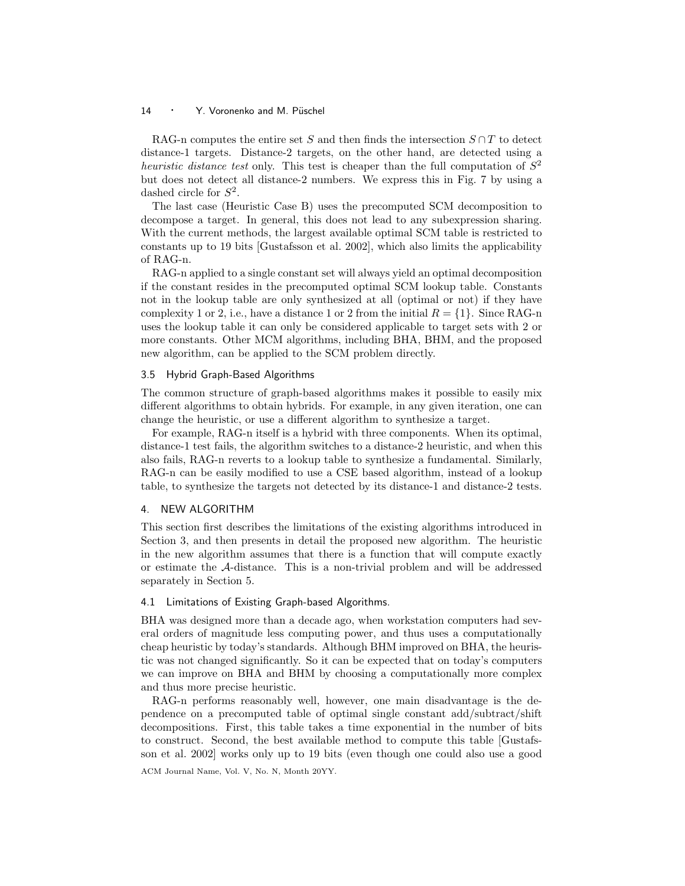RAG-n computes the entire set S and then finds the intersection  $S \cap T$  to detect distance-1 targets. Distance-2 targets, on the other hand, are detected using a heuristic distance test only. This test is cheaper than the full computation of  $S^2$ but does not detect all distance-2 numbers. We express this in Fig. 7 by using a dashed circle for  $S^2$ .

The last case (Heuristic Case B) uses the precomputed SCM decomposition to decompose a target. In general, this does not lead to any subexpression sharing. With the current methods, the largest available optimal SCM table is restricted to constants up to 19 bits [Gustafsson et al. 2002], which also limits the applicability of RAG-n.

RAG-n applied to a single constant set will always yield an optimal decomposition if the constant resides in the precomputed optimal SCM lookup table. Constants not in the lookup table are only synthesized at all (optimal or not) if they have complexity 1 or 2, i.e., have a distance 1 or 2 from the initial  $R = \{1\}$ . Since RAG-n uses the lookup table it can only be considered applicable to target sets with 2 or more constants. Other MCM algorithms, including BHA, BHM, and the proposed new algorithm, can be applied to the SCM problem directly.

## 3.5 Hybrid Graph-Based Algorithms

The common structure of graph-based algorithms makes it possible to easily mix different algorithms to obtain hybrids. For example, in any given iteration, one can change the heuristic, or use a different algorithm to synthesize a target.

For example, RAG-n itself is a hybrid with three components. When its optimal, distance-1 test fails, the algorithm switches to a distance-2 heuristic, and when this also fails, RAG-n reverts to a lookup table to synthesize a fundamental. Similarly, RAG-n can be easily modified to use a CSE based algorithm, instead of a lookup table, to synthesize the targets not detected by its distance-1 and distance-2 tests.

## 4. NEW ALGORITHM

This section first describes the limitations of the existing algorithms introduced in Section 3, and then presents in detail the proposed new algorithm. The heuristic in the new algorithm assumes that there is a function that will compute exactly or estimate the A-distance. This is a non-trivial problem and will be addressed separately in Section 5.

## 4.1 Limitations of Existing Graph-based Algorithms.

BHA was designed more than a decade ago, when workstation computers had several orders of magnitude less computing power, and thus uses a computationally cheap heuristic by today's standards. Although BHM improved on BHA, the heuristic was not changed significantly. So it can be expected that on today's computers we can improve on BHA and BHM by choosing a computationally more complex and thus more precise heuristic.

RAG-n performs reasonably well, however, one main disadvantage is the dependence on a precomputed table of optimal single constant add/subtract/shift decompositions. First, this table takes a time exponential in the number of bits to construct. Second, the best available method to compute this table [Gustafsson et al. 2002] works only up to 19 bits (even though one could also use a good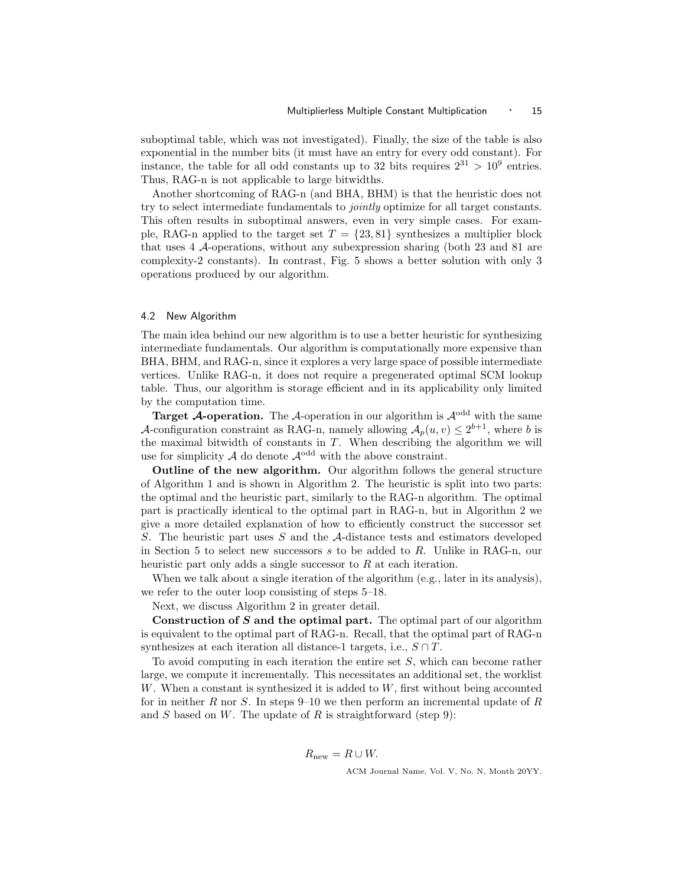suboptimal table, which was not investigated). Finally, the size of the table is also exponential in the number bits (it must have an entry for every odd constant). For instance, the table for all odd constants up to 32 bits requires  $2^{31} > 10^9$  entries. Thus, RAG-n is not applicable to large bitwidths.

Another shortcoming of RAG-n (and BHA, BHM) is that the heuristic does not try to select intermediate fundamentals to jointly optimize for all target constants. This often results in suboptimal answers, even in very simple cases. For example, RAG-n applied to the target set  $T = \{23, 81\}$  synthesizes a multiplier block that uses 4 A-operations, without any subexpression sharing (both 23 and 81 are complexity-2 constants). In contrast, Fig. 5 shows a better solution with only 3 operations produced by our algorithm.

## 4.2 New Algorithm

The main idea behind our new algorithm is to use a better heuristic for synthesizing intermediate fundamentals. Our algorithm is computationally more expensive than BHA, BHM, and RAG-n, since it explores a very large space of possible intermediate vertices. Unlike RAG-n, it does not require a pregenerated optimal SCM lookup table. Thus, our algorithm is storage efficient and in its applicability only limited by the computation time.

**Target A-operation.** The A-operation in our algorithm is  $A^{odd}$  with the same A-configuration constraint as RAG-n, namely allowing  $A_p(u, v) \leq 2^{b+1}$ , where b is the maximal bitwidth of constants in  $T$ . When describing the algorithm we will use for simplicity  $A$  do denote  $A^{odd}$  with the above constraint.

Outline of the new algorithm. Our algorithm follows the general structure of Algorithm 1 and is shown in Algorithm 2. The heuristic is split into two parts: the optimal and the heuristic part, similarly to the RAG-n algorithm. The optimal part is practically identical to the optimal part in RAG-n, but in Algorithm 2 we give a more detailed explanation of how to efficiently construct the successor set S. The heuristic part uses S and the A-distance tests and estimators developed in Section 5 to select new successors s to be added to R. Unlike in RAG-n, our heuristic part only adds a single successor to R at each iteration.

When we talk about a single iteration of the algorithm (e.g., later in its analysis), we refer to the outer loop consisting of steps 5–18.

Next, we discuss Algorithm 2 in greater detail.

Construction of  $S$  and the optimal part. The optimal part of our algorithm is equivalent to the optimal part of RAG-n. Recall, that the optimal part of RAG-n synthesizes at each iteration all distance-1 targets, i.e.,  $S \cap T$ .

To avoid computing in each iteration the entire set S, which can become rather large, we compute it incrementally. This necessitates an additional set, the worklist W. When a constant is synthesized it is added to  $W$ , first without being accounted for in neither R nor S. In steps 9–10 we then perform an incremental update of R and  $S$  based on  $W$ . The update of  $R$  is straightforward (step 9):

$$
R_{\text{new}} = R \cup W.
$$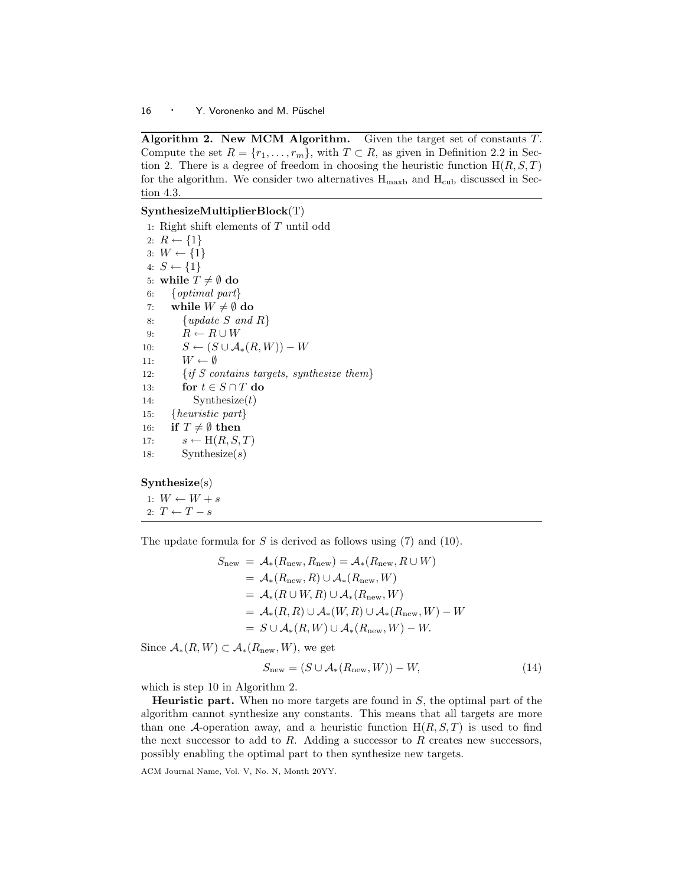Algorithm 2. New MCM Algorithm. Given the target set of constants  $T$ . Compute the set  $R = \{r_1, \ldots, r_m\}$ , with  $T \subset R$ , as given in Definition 2.2 in Section 2. There is a degree of freedom in choosing the heuristic function  $H(R, S, T)$ for the algorithm. We consider two alternatives  $H_{\text{maxb}}$  and  $H_{\text{cub}}$  discussed in Section 4.3.

# SynthesizeMultiplierBlock(T)

1: Right shift elements of T until odd 2:  $R \leftarrow \{1\}$ 3:  $W \leftarrow \{1\}$ 4:  $S \leftarrow \{1\}$ 5: while  $T \neq \emptyset$  do 6: {optimal part} 7: while  $W \neq \emptyset$  do 8: {*update S and R*} 9:  $R \leftarrow R \cup W$ 10:  $S \leftarrow (S \cup A_*(R, W)) - W$ 11:  $W \leftarrow \emptyset$ 12:  $\{if S contains targets, synthesis the them\}$ 13: for  $t \in S \cap T$  do 14: Synthesize $(t)$ 15: {heuristic part} 16: if  $T \neq \emptyset$  then 17:  $s \leftarrow H(R, S, T)$ 18: Synthesize $(s)$ 

## Synthesize(s)

1:  $W \leftarrow W + s$ 2:  $T \leftarrow T - s$ 

The update formula for  $S$  is derived as follows using  $(7)$  and  $(10)$ .

$$
S_{\text{new}} = A_*(R_{\text{new}}, R_{\text{new}}) = A_*(R_{\text{new}}, R \cup W)
$$
  
=  $A_*(R_{\text{new}}, R) \cup A_*(R_{\text{new}}, W)$   
=  $A_*(R \cup W, R) \cup A_*(R_{\text{new}}, W)$   
=  $A_*(R, R) \cup A_*(W, R) \cup A_*(R_{\text{new}}, W) - W$   
=  $S \cup A_*(R, W) \cup A_*(R_{\text{new}}, W) - W$ .

Since  $\mathcal{A}_*(R, W) \subset \mathcal{A}_*(R_{\text{new}}, W)$ , we get

$$
S_{\text{new}} = (S \cup \mathcal{A}_*(R_{\text{new}}, W)) - W,\tag{14}
$$

which is step 10 in Algorithm 2.

**Heuristic part.** When no more targets are found in  $S$ , the optimal part of the algorithm cannot synthesize any constants. This means that all targets are more than one A-operation away, and a heuristic function  $H(R, S, T)$  is used to find the next successor to add to  $R$ . Adding a successor to  $R$  creates new successors, possibly enabling the optimal part to then synthesize new targets.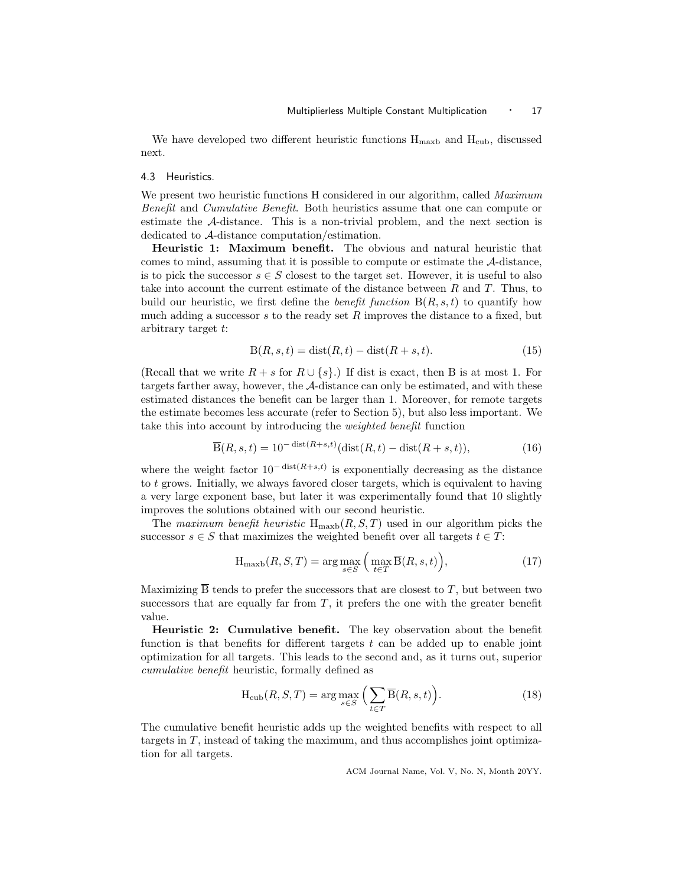We have developed two different heuristic functions  $H_{\text{maxb}}$  and  $H_{\text{cub}}$ , discussed next.

## 4.3 Heuristics.

We present two heuristic functions H considered in our algorithm, called *Maximum* Benefit and Cumulative Benefit. Both heuristics assume that one can compute or estimate the A-distance. This is a non-trivial problem, and the next section is dedicated to A-distance computation/estimation.

Heuristic 1: Maximum benefit. The obvious and natural heuristic that comes to mind, assuming that it is possible to compute or estimate the A-distance, is to pick the successor  $s \in S$  closest to the target set. However, it is useful to also take into account the current estimate of the distance between R and T. Thus, to build our heuristic, we first define the *benefit function*  $B(R, s, t)$  to quantify how much adding a successor s to the ready set R improves the distance to a fixed, but arbitrary target t:

$$
B(R, s, t) = \text{dist}(R, t) - \text{dist}(R + s, t). \tag{15}
$$

(Recall that we write  $R + s$  for  $R \cup \{s\}$ .) If dist is exact, then B is at most 1. For targets farther away, however, the A-distance can only be estimated, and with these estimated distances the benefit can be larger than 1. Moreover, for remote targets the estimate becomes less accurate (refer to Section 5), but also less important. We take this into account by introducing the weighted benefit function

$$
\overline{\mathcal{B}}(R,s,t) = 10^{-\operatorname{dist}(R+s,t)}(\operatorname{dist}(R,t) - \operatorname{dist}(R+s,t)),\tag{16}
$$

where the weight factor  $10^{-\text{dist}(R+s,t)}$  is exponentially decreasing as the distance to  $t$  grows. Initially, we always favored closer targets, which is equivalent to having a very large exponent base, but later it was experimentally found that 10 slightly improves the solutions obtained with our second heuristic.

The maximum benefit heuristic  $H_{\text{maxb}}(R, S, T)$  used in our algorithm picks the successor  $s \in S$  that maximizes the weighted benefit over all targets  $t \in T$ :

$$
H_{\text{maxb}}(R, S, T) = \arg\max_{s \in S} \left( \max_{t \in T} \overline{B}(R, s, t) \right),\tag{17}
$$

Maximizing  $\overline{B}$  tends to prefer the successors that are closest to T, but between two successors that are equally far from  $T$ , it prefers the one with the greater benefit value.

Heuristic 2: Cumulative benefit. The key observation about the benefit function is that benefits for different targets  $t$  can be added up to enable joint optimization for all targets. This leads to the second and, as it turns out, superior cumulative benefit heuristic, formally defined as

$$
H_{\rm cub}(R, S, T) = \arg \max_{s \in S} \left( \sum_{t \in T} \overline{B}(R, s, t) \right).
$$
 (18)

The cumulative benefit heuristic adds up the weighted benefits with respect to all targets in  $T$ , instead of taking the maximum, and thus accomplishes joint optimization for all targets.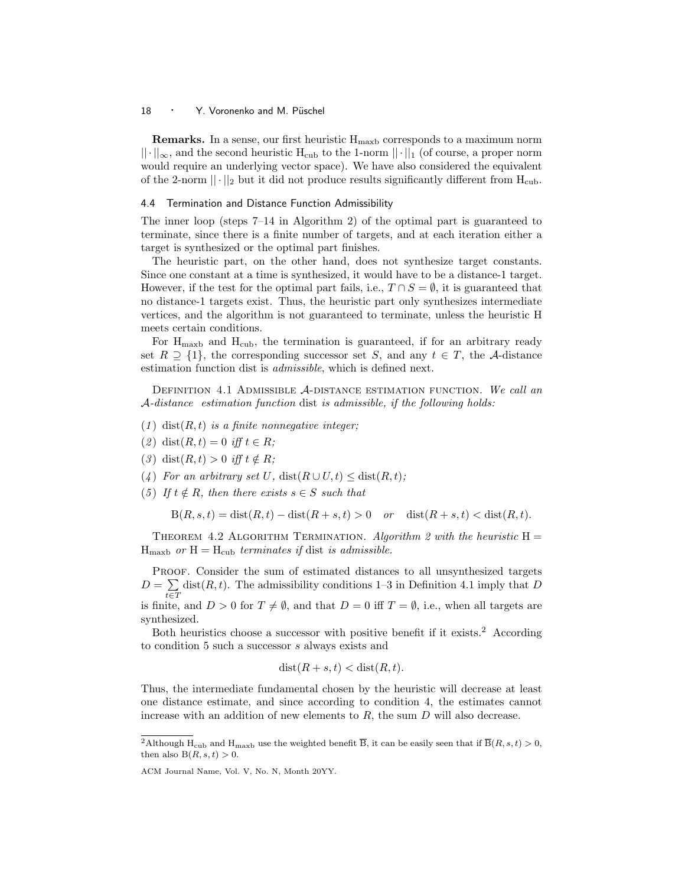**Remarks.** In a sense, our first heuristic  $H_{\text{maxb}}$  corresponds to a maximum norm  $|| \cdot ||_{\infty}$ , and the second heuristic H<sub>cub</sub> to the 1-norm  $|| \cdot ||_1$  (of course, a proper norm would require an underlying vector space). We have also considered the equivalent of the 2-norm  $|| \cdot ||_2$  but it did not produce results significantly different from H<sub>cub</sub>.

## 4.4 Termination and Distance Function Admissibility

The inner loop (steps 7–14 in Algorithm 2) of the optimal part is guaranteed to terminate, since there is a finite number of targets, and at each iteration either a target is synthesized or the optimal part finishes.

The heuristic part, on the other hand, does not synthesize target constants. Since one constant at a time is synthesized, it would have to be a distance-1 target. However, if the test for the optimal part fails, i.e.,  $T \cap S = \emptyset$ , it is guaranteed that no distance-1 targets exist. Thus, the heuristic part only synthesizes intermediate vertices, and the algorithm is not guaranteed to terminate, unless the heuristic H meets certain conditions.

For  $H_{\text{maxb}}$  and  $H_{\text{cub}}$ , the termination is guaranteed, if for an arbitrary ready set  $R \supseteq \{1\}$ , the corresponding successor set S, and any  $t \in T$ , the A-distance estimation function dist is admissible, which is defined next.

DEFINITION 4.1 ADMISSIBLE A-DISTANCE ESTIMATION FUNCTION. We call an A-distance estimation function dist is admissible, if the following holds:

- (1) dist $(R, t)$  is a finite nonnegative integer;
- (2) dist $(R, t) = 0$  iff  $t \in R$ ;
- (3) dist $(R, t) > 0$  iff  $t \notin R$ ;
- (4) For an arbitrary set U, dist $(R \cup U, t) \leq \text{dist}(R, t);$
- (5) If  $t \notin R$ , then there exists  $s \in S$  such that

$$
B(R, s, t) = \text{dist}(R, t) - \text{dist}(R + s, t) > 0 \quad \text{or} \quad \text{dist}(R + s, t) < \text{dist}(R, t).
$$

THEOREM 4.2 ALGORITHM TERMINATION. Algorithm 2 with the heuristic  $H =$  $H_{\text{maxb}}$  or  $H = H_{\text{cub}}$  terminates if dist is admissible.

PROOF. Consider the sum of estimated distances to all unsynthesized targets  $D=\, \sum$  $t \in T$  $dist(R, t)$ . The admissibility conditions 1–3 in Definition 4.1 imply that D

is finite, and  $D > 0$  for  $T \neq \emptyset$ , and that  $D = 0$  iff  $T = \emptyset$ , i.e., when all targets are synthesized.

Both heuristics choose a successor with positive benefit if it exists.<sup>2</sup> According to condition 5 such a successor s always exists and

$$
dist(R + s, t) < dist(R, t).
$$

Thus, the intermediate fundamental chosen by the heuristic will decrease at least one distance estimate, and since according to condition 4, the estimates cannot increase with an addition of new elements to  $R$ , the sum  $D$  will also decrease.

<sup>&</sup>lt;sup>2</sup>Although H<sub>cub</sub> and H<sub>maxb</sub> use the weighted benefit  $\overline{B}$ , it can be easily seen that if  $\overline{B}(R, s, t) > 0$ , then also  $B(R, s, t) > 0$ .

ACM Journal Name, Vol. V, No. N, Month 20YY.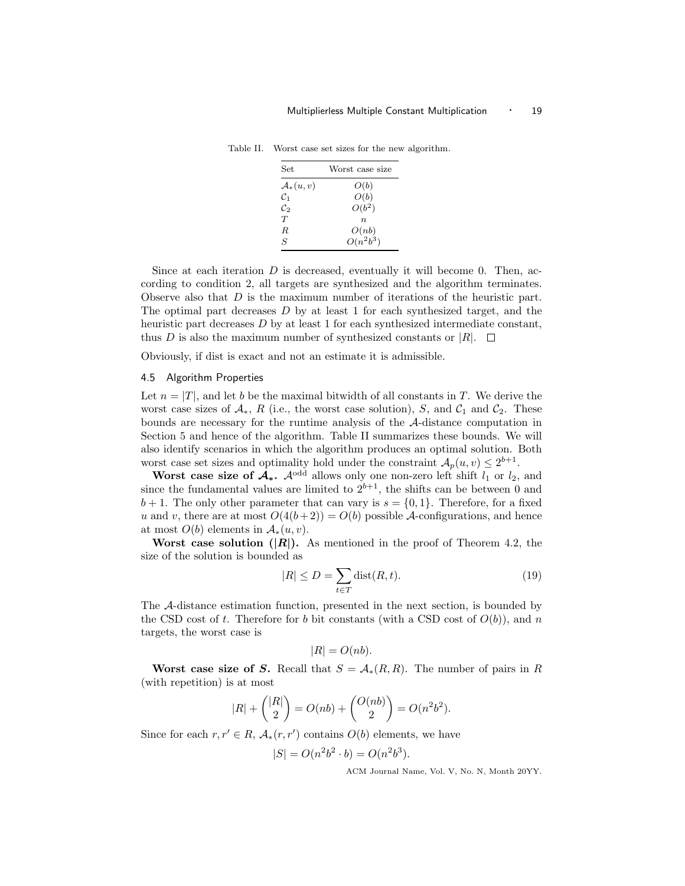| Set.                 | Worst case size |
|----------------------|-----------------|
| $\mathcal{A}_*(u,v)$ | O(b)            |
| $\mathcal{C}_1$      | O(b)            |
| $\mathcal{C}_2$      | $O(b^2)$        |
| T                    | $n_{\cdot}$     |
| R.                   | O(nb)           |
| S                    | $O(n^2b^3)$     |
|                      |                 |

Table II. Worst case set sizes for the new algorithm.

Since at each iteration  $D$  is decreased, eventually it will become 0. Then, according to condition 2, all targets are synthesized and the algorithm terminates. Observe also that D is the maximum number of iterations of the heuristic part. The optimal part decreases  $D$  by at least 1 for each synthesized target, and the heuristic part decreases  $D$  by at least 1 for each synthesized intermediate constant, thus D is also the maximum number of synthesized constants or  $|R|$ .  $\Box$ 

Obviously, if dist is exact and not an estimate it is admissible.

## 4.5 Algorithm Properties

Let  $n = |T|$ , and let b be the maximal bitwidth of all constants in T. We derive the worst case sizes of  $\mathcal{A}_{*}$ , R (i.e., the worst case solution), S, and  $\mathcal{C}_1$  and  $\mathcal{C}_2$ . These bounds are necessary for the runtime analysis of the A-distance computation in Section 5 and hence of the algorithm. Table II summarizes these bounds. We will also identify scenarios in which the algorithm produces an optimal solution. Both worst case set sizes and optimality hold under the constraint  $\mathcal{A}_p(u, v) \leq 2^{b+1}$ .

Worst case size of  $\mathcal{A}_*$ .  $\mathcal{A}^{\text{odd}}$  allows only one non-zero left shift  $l_1$  or  $l_2$ , and since the fundamental values are limited to  $2^{b+1}$ , the shifts can be between 0 and  $b+1$ . The only other parameter that can vary is  $s = \{0, 1\}$ . Therefore, for a fixed u and v, there are at most  $O(4(b+2)) = O(b)$  possible A-configurations, and hence at most  $O(b)$  elements in  $\mathcal{A}_{*}(u, v)$ .

Worst case solution  $(|R|)$ . As mentioned in the proof of Theorem 4.2, the size of the solution is bounded as

$$
|R| \le D = \sum_{t \in T} \text{dist}(R, t). \tag{19}
$$

The A-distance estimation function, presented in the next section, is bounded by the CSD cost of t. Therefore for b bit constants (with a CSD cost of  $O(b)$ ), and n targets, the worst case is

$$
|R| = O(nb).
$$

Worst case size of S. Recall that  $S = \mathcal{A}_{*}(R, R)$ . The number of pairs in R (with repetition) is at most

$$
|R| + { |R| \choose 2} = O(nb) + { O(nb) \choose 2} = O(n^2b^2).
$$

Since for each  $r, r' \in R$ ,  $\mathcal{A}_{*}(r, r')$  contains  $O(b)$  elements, we have

$$
|S| = O(n^2b^2 \cdot b) = O(n^2b^3).
$$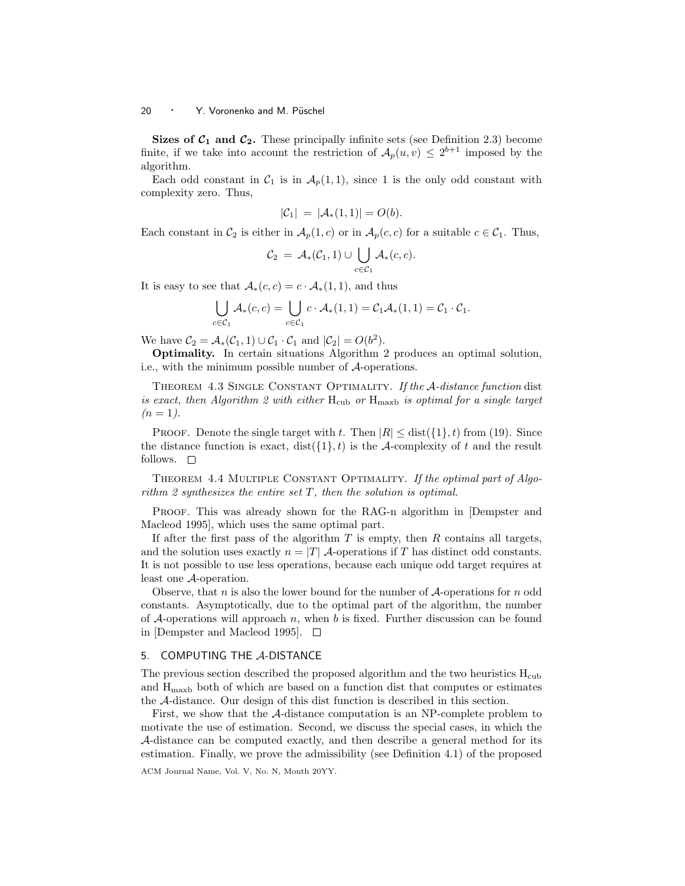Sizes of  $C_1$  and  $C_2$ . These principally infinite sets (see Definition 2.3) become finite, if we take into account the restriction of  $\mathcal{A}_p(u, v) \leq 2^{b+1}$  imposed by the algorithm.

Each odd constant in  $C_1$  is in  $\mathcal{A}_p(1,1)$ , since 1 is the only odd constant with complexity zero. Thus,

$$
|\mathcal{C}_1| = |\mathcal{A}_*(1,1)| = O(b).
$$

Each constant in  $\mathcal{C}_2$  is either in  $\mathcal{A}_p(1,c)$  or in  $\mathcal{A}_p(c,c)$  for a suitable  $c \in \mathcal{C}_1$ . Thus,

$$
\mathcal{C}_2 = \mathcal{A}_*(\mathcal{C}_1, 1) \cup \bigcup_{c \in \mathcal{C}_1} \mathcal{A}_*(c, c).
$$

It is easy to see that  $\mathcal{A}_*(c, c) = c \cdot \mathcal{A}_*(1, 1)$ , and thus

$$
\bigcup_{c \in \mathcal{C}_1} \mathcal{A}_*(c, c) = \bigcup_{c \in \mathcal{C}_1} c \cdot \mathcal{A}_*(1, 1) = \mathcal{C}_1 \mathcal{A}_*(1, 1) = \mathcal{C}_1 \cdot \mathcal{C}_1.
$$

We have  $C_2 = \mathcal{A}_*(\mathcal{C}_1, 1) \cup \mathcal{C}_1 \cdot \mathcal{C}_1$  and  $|\mathcal{C}_2| = O(b^2)$ .

Optimality. In certain situations Algorithm 2 produces an optimal solution, i.e., with the minimum possible number of A-operations.

THEOREM 4.3 SINGLE CONSTANT OPTIMALITY. If the A-distance function dist is exact, then Algorithm 2 with either  $H_{\text{cub}}$  or  $H_{\text{maxb}}$  is optimal for a single target  $(n = 1)$ .

**PROOF.** Denote the single target with t. Then  $|R| \leq \text{dist}(\{1\}, t)$  from (19). Since the distance function is exact,  $dist({1}, t)$  is the A-complexity of t and the result follows.  $\square$ 

THEOREM 4.4 MULTIPLE CONSTANT OPTIMALITY. If the optimal part of Algorithm 2 synthesizes the entire set  $T$ , then the solution is optimal.

PROOF. This was already shown for the RAG-n algorithm in [Dempster and Macleod 1995], which uses the same optimal part.

If after the first pass of the algorithm  $T$  is empty, then  $R$  contains all targets, and the solution uses exactly  $n = |T|$  *A*-operations if T has distinct odd constants. It is not possible to use less operations, because each unique odd target requires at least one A-operation.

Observe, that n is also the lower bound for the number of  $A$ -operations for n odd constants. Asymptotically, due to the optimal part of the algorithm, the number of A-operations will approach n, when b is fixed. Further discussion can be found in [Dempster and Macleod 1995].  $\Box$ 

## 5. COMPUTING THE A-DISTANCE

The previous section described the proposed algorithm and the two heuristics  $H_{\text{cub}}$ and  $H_{\text{maxb}}$  both of which are based on a function dist that computes or estimates the A-distance. Our design of this dist function is described in this section.

First, we show that the A-distance computation is an NP-complete problem to motivate the use of estimation. Second, we discuss the special cases, in which the A-distance can be computed exactly, and then describe a general method for its estimation. Finally, we prove the admissibility (see Definition 4.1) of the proposed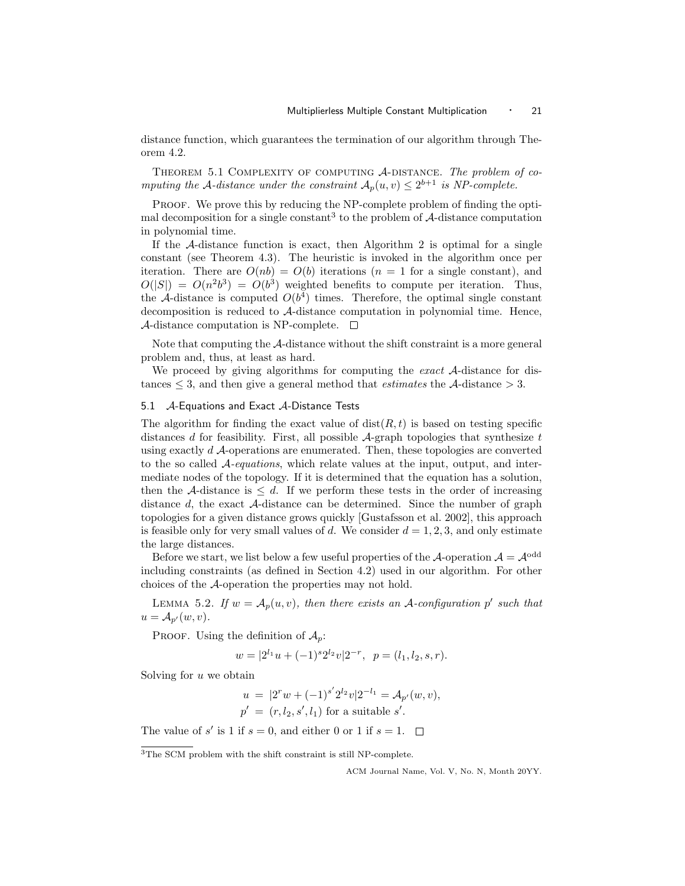distance function, which guarantees the termination of our algorithm through Theorem 4.2.

THEOREM 5.1 COMPLEXITY OF COMPUTING A-DISTANCE. The problem of computing the A-distance under the constraint  $A_p(u, v) \leq 2^{b+1}$  is NP-complete.

PROOF. We prove this by reducing the NP-complete problem of finding the optimal decomposition for a single constant<sup>3</sup> to the problem of  $A$ -distance computation in polynomial time.

If the  $\mathcal A$ -distance function is exact, then Algorithm 2 is optimal for a single constant (see Theorem 4.3). The heuristic is invoked in the algorithm once per iteration. There are  $O(nb) = O(b)$  iterations  $(n = 1$  for a single constant), and  $O(|S|) = O(n^2b^3) = O(b^3)$  weighted benefits to compute per iteration. Thus, the A-distance is computed  $O(b^4)$  times. Therefore, the optimal single constant decomposition is reduced to A-distance computation in polynomial time. Hence, A-distance computation is NP-complete.  $\Box$ 

Note that computing the A-distance without the shift constraint is a more general problem and, thus, at least as hard.

We proceed by giving algorithms for computing the *exact* A-distance for distances  $\leq$  3, and then give a general method that *estimates* the A-distance  $>$  3.

## 5.1  $\mathcal{A}$ -Equations and Exact  $\mathcal{A}$ -Distance Tests

The algorithm for finding the exact value of  $dist(R, t)$  is based on testing specific distances d for feasibility. First, all possible  $\mathcal{A}$ -graph topologies that synthesize t using exactly d A-operations are enumerated. Then, these topologies are converted to the so called  $A$ -equations, which relate values at the input, output, and intermediate nodes of the topology. If it is determined that the equation has a solution, then the A-distance is  $\leq d$ . If we perform these tests in the order of increasing distance d, the exact A-distance can be determined. Since the number of graph topologies for a given distance grows quickly [Gustafsson et al. 2002], this approach is feasible only for very small values of d. We consider  $d = 1, 2, 3$ , and only estimate the large distances.

Before we start, we list below a few useful properties of the A-operation  $A = \mathcal{A}^{\text{odd}}$ including constraints (as defined in Section 4.2) used in our algorithm. For other choices of the A-operation the properties may not hold.

LEMMA 5.2. If  $w = A_p(u, v)$ , then there exists an A-configuration p' such that  $u = A_{p'}(w, v).$ 

PROOF. Using the definition of  $\mathcal{A}_p$ :

$$
w = |2^{l_1}u + (-1)^s 2^{l_2}v|2^{-r}, \ \ p = (l_1, l_2, s, r).
$$

Solving for  $u$  we obtain

$$
u = |2^r w + (-1)^{s'} 2^{l_2} v | 2^{-l_1} = A_{p'}(w, v),
$$
  

$$
p' = (r, l_2, s', l_1)
$$
 for a suitable s'.

The value of  $s'$  is 1 if  $s = 0$ , and either 0 or 1 if  $s = 1$ .

<sup>3</sup>The SCM problem with the shift constraint is still NP-complete.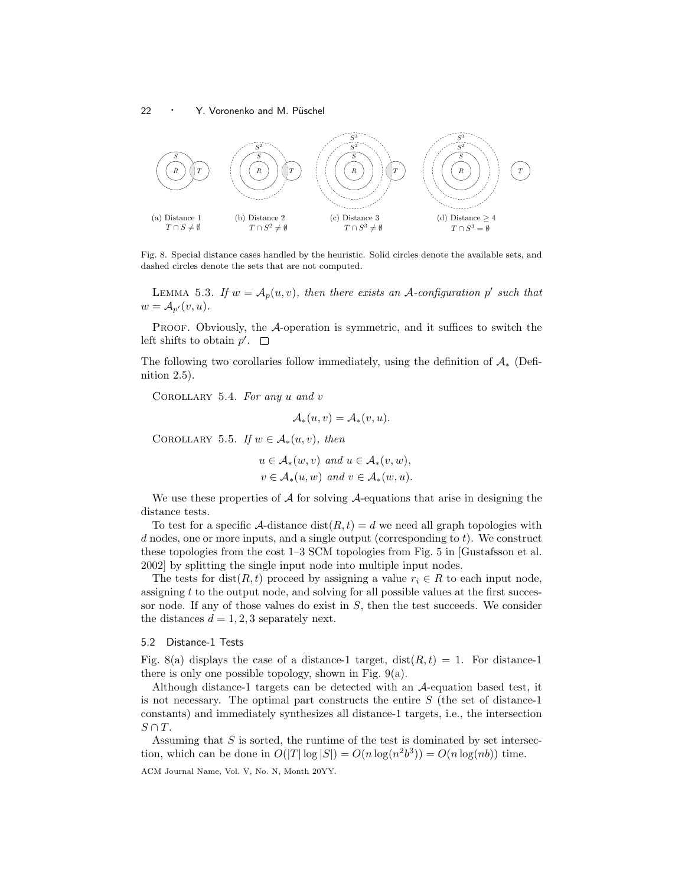

Fig. 8. Special distance cases handled by the heuristic. Solid circles denote the available sets, and dashed circles denote the sets that are not computed.

LEMMA 5.3. If  $w = A_p(u, v)$ , then there exists an A-configuration p' such that  $w = A_{p'}(v, u).$ 

PROOF. Obviously, the A-operation is symmetric, and it suffices to switch the left shifts to obtain  $p'$ .

The following two corollaries follow immediately, using the definition of  $A_*$  (Definition 2.5).

COROLLARY 5.4. For any  $u$  and  $v$ 

$$
\mathcal{A}_*(u,v) = \mathcal{A}_*(v,u).
$$

COROLLARY 5.5. If  $w \in A_*(u, v)$ , then

$$
u \in \mathcal{A}_*(w, v) \text{ and } u \in \mathcal{A}_*(v, w),
$$
  

$$
v \in \mathcal{A}_*(u, w) \text{ and } v \in \mathcal{A}_*(w, u).
$$

We use these properties of  $A$  for solving  $A$ -equations that arise in designing the distance tests.

To test for a specific A-distance  $dist(R, t) = d$  we need all graph topologies with  $d$  nodes, one or more inputs, and a single output (corresponding to  $t$ ). We construct these topologies from the cost 1–3 SCM topologies from Fig. 5 in [Gustafsson et al. 2002] by splitting the single input node into multiple input nodes.

The tests for dist(R, t) proceed by assigning a value  $r_i \in R$  to each input node, assigning  $t$  to the output node, and solving for all possible values at the first successor node. If any of those values do exist in  $S$ , then the test succeeds. We consider the distances  $d = 1, 2, 3$  separately next.

#### 5.2 Distance-1 Tests

Fig. 8(a) displays the case of a distance-1 target,  $dist(R, t) = 1$ . For distance-1 there is only one possible topology, shown in Fig.  $9(a)$ .

Although distance-1 targets can be detected with an A-equation based test, it is not necessary. The optimal part constructs the entire  $S$  (the set of distance-1 constants) and immediately synthesizes all distance-1 targets, i.e., the intersection  $S \cap T$ .

Assuming that  $S$  is sorted, the runtime of the test is dominated by set intersection, which can be done in  $O(|T|\log |S|) = O(n \log(n^2 b^3)) = O(n \log(n b))$  time.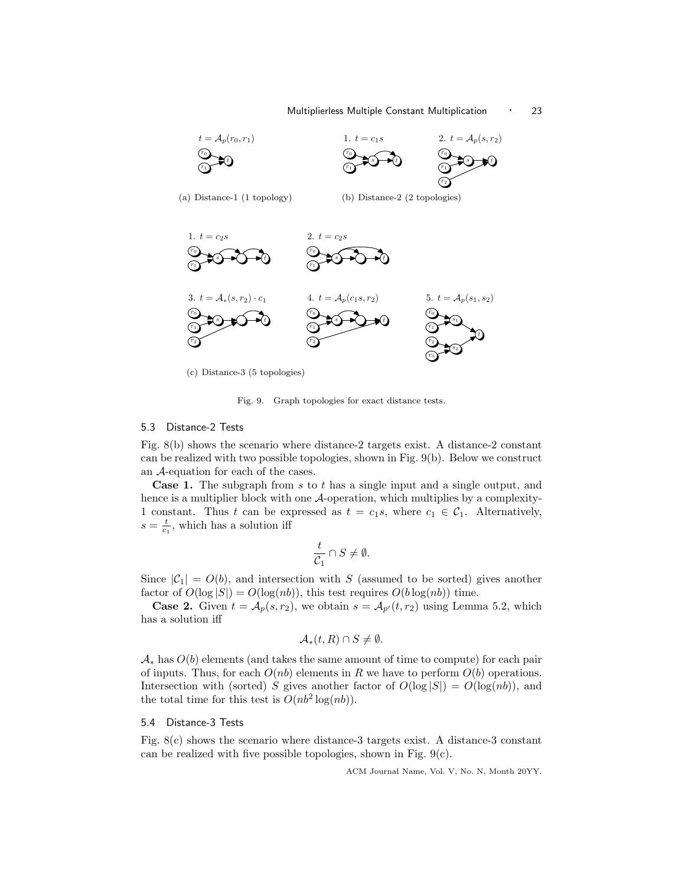## Multiplierless Multiple Constant Multiplication • 23



(c) Distance-3 (5 topologies)

Fig. 9. Graph topologies for exact distance tests.

#### 5.3 Distance-2 Tests

Fig. 8(b) shows the scenario where distance-2 targets exist. A distance-2 constant can be realized with two possible topologies, shown in Fig. 9(b). Below we construct an A-equation for each of the cases.

Case 1. The subgraph from s to t has a single input and a single output, and hence is a multiplier block with one A-operation, which multiplies by a complexity-1 constant. Thus t can be expressed as  $t = c_1s$ , where  $c_1 \in C_1$ . Alternatively,  $s = \frac{t}{c_1}$ , which has a solution iff

$$
\frac{t}{\mathcal{C}_1}\cap S\neq \emptyset.
$$

Since  $|\mathcal{C}_1| = O(b)$ , and intersection with S (assumed to be sorted) gives another factor of  $O(\log |S|) = O(\log(n b))$ , this test requires  $O(b \log(n b))$  time.

**Case 2.** Given  $t = A_p(s, r_2)$ , we obtain  $s = A_{p'}(t, r_2)$  using Lemma 5.2, which has a solution iff

$$
\mathcal{A}_{*}(t,R)\cap S\neq\emptyset.
$$

 $\mathcal{A}_{*}$  has  $O(b)$  elements (and takes the same amount of time to compute) for each pair of inputs. Thus, for each  $O(nb)$  elements in R we have to perform  $O(b)$  operations. Intersection with (sorted) S gives another factor of  $O(\log |S|) = O(\log(n b))$ , and the total time for this test is  $O(n b^2 \log(n b)).$ 

## 5.4 Distance-3 Tests

Fig. 8(c) shows the scenario where distance-3 targets exist. A distance-3 constant can be realized with five possible topologies, shown in Fig. 9(c).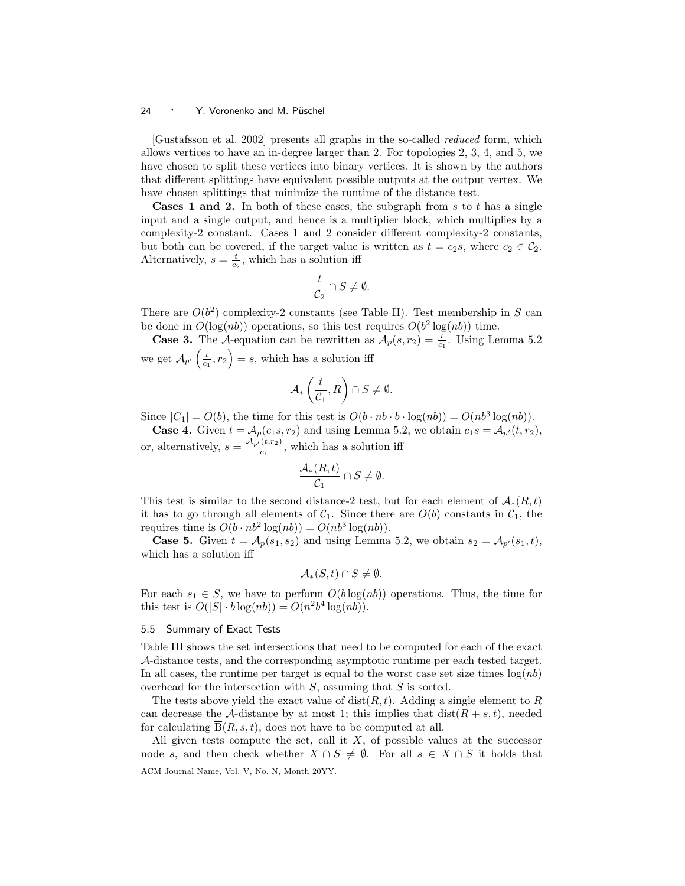[Gustafsson et al. 2002] presents all graphs in the so-called reduced form, which allows vertices to have an in-degree larger than 2. For topologies 2, 3, 4, and 5, we have chosen to split these vertices into binary vertices. It is shown by the authors that different splittings have equivalent possible outputs at the output vertex. We have chosen splittings that minimize the runtime of the distance test.

**Cases 1 and 2.** In both of these cases, the subgraph from s to t has a single input and a single output, and hence is a multiplier block, which multiplies by a complexity-2 constant. Cases 1 and 2 consider different complexity-2 constants, but both can be covered, if the target value is written as  $t = c_2s$ , where  $c_2 \in C_2$ . Alternatively,  $s = \frac{t}{c_2}$ , which has a solution iff

$$
\frac{t}{\mathcal{C}_2} \cap S \neq \emptyset.
$$

There are  $O(b^2)$  complexity-2 constants (see Table II). Test membership in S can be done in  $O(\log(n b))$  operations, so this test requires  $O(b^2 \log(n b))$  time.

**Case 3.** The A-equation can be rewritten as  $A_p(s, r_2) = \frac{t}{c_1}$ . Using Lemma 5.2 we get  $\mathcal{A}_{p'}\left(\frac{t}{c_1}, r_2\right) = s$ , which has a solution iff

$$
\mathcal{A}_*\left(\frac{t}{\mathcal{C}_1},R\right)\cap S\neq \emptyset.
$$

Since  $|C_1| = O(b)$ , the time for this test is  $O(b \cdot nb \cdot b \cdot \log(nb)) = O(nb^3 \log(nb))$ .

**Case 4.** Given  $t = A_p(c_1s, r_2)$  and using Lemma 5.2, we obtain  $c_1s = A_{p'}(t, r_2)$ , or, alternatively,  $s = \frac{A_{p'}(t,r_2)}{c_1}$ , which has a solution iff

$$
\frac{\mathcal{A}_*(R,t)}{\mathcal{C}_1}\cap S\neq \emptyset.
$$

This test is similar to the second distance-2 test, but for each element of  $\mathcal{A}_{*}(R,t)$ it has to go through all elements of  $C_1$ . Since there are  $O(b)$  constants in  $C_1$ , the requires time is  $O(b \cdot nb^2 \log(nb)) = O(nb^3 \log(nb)).$ 

**Case 5.** Given  $t = A_p(s_1, s_2)$  and using Lemma 5.2, we obtain  $s_2 = A_{p'}(s_1, t)$ , which has a solution iff

$$
\mathcal{A}_*(S,t)\cap S\neq\emptyset.
$$

For each  $s_1 \in S$ , we have to perform  $O(b \log(n b))$  operations. Thus, the time for this test is  $O(|S| \cdot b \log(n b)) = O(n^2 b^4 \log(n b)).$ 

## 5.5 Summary of Exact Tests

Table III shows the set intersections that need to be computed for each of the exact A-distance tests, and the corresponding asymptotic runtime per each tested target. In all cases, the runtime per target is equal to the worst case set size times  $log(nb)$ overhead for the intersection with  $S$ , assuming that  $S$  is sorted.

The tests above yield the exact value of  $dist(R, t)$ . Adding a single element to R can decrease the A-distance by at most 1; this implies that  $dist(R + s, t)$ , needed for calculating  $\overline{B}(R, s, t)$ , does not have to be computed at all.

All given tests compute the set, call it  $X$ , of possible values at the successor node s, and then check whether  $X \cap S \neq \emptyset$ . For all  $s \in X \cap S$  it holds that ACM Journal Name, Vol. V, No. N, Month 20YY.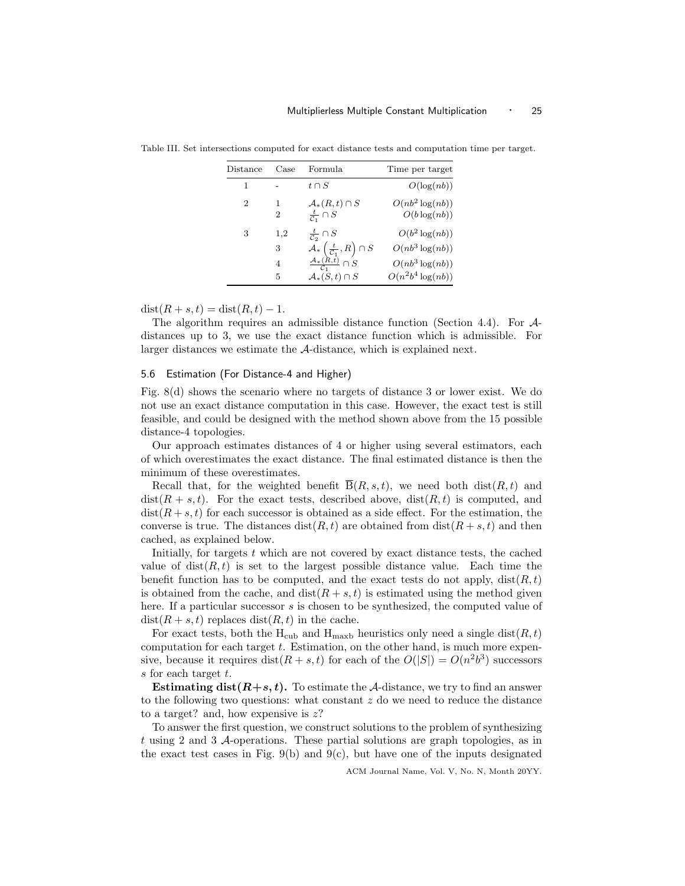| Distance | Case | Formula                                                       | Time per target      |
|----------|------|---------------------------------------------------------------|----------------------|
| 1        |      | $t \cap S$                                                    | O(log(nb))           |
| 2        | 1    | $\mathcal{A}_*(R,t)\cap S$                                    | $O(n b^2 \log(n b))$ |
|          | 2    | $\frac{t}{C_1} \cap S$                                        | $O(b \log(nb))$      |
| 3        | 1,2  | $\frac{t}{\mathcal{C}_2} \cap S$                              | $O(b^2 \log(nb))$    |
|          | 3    | $\mathcal{A}_{*}\left(\frac{t}{\mathcal{C}_1},R\right)\cap S$ | $O(nb^3 \log(nb))$   |
|          | 4    | $\underline{\mathcal{A}_*(\widetilde{R,t})}\cap S$            | $O(nb^3 \log(nb))$   |
|          | 5    | $\mathcal{A}_*(S,t)\cap S$                                    | $O(n^2b^4 \log(nb))$ |

Table III. Set intersections computed for exact distance tests and computation time per target.

 $dist(R + s, t) = dist(R, t) - 1.$ 

The algorithm requires an admissible distance function (Section 4.4). For Adistances up to 3, we use the exact distance function which is admissible. For larger distances we estimate the A-distance, which is explained next.

## 5.6 Estimation (For Distance-4 and Higher)

Fig. 8(d) shows the scenario where no targets of distance 3 or lower exist. We do not use an exact distance computation in this case. However, the exact test is still feasible, and could be designed with the method shown above from the 15 possible distance-4 topologies.

Our approach estimates distances of 4 or higher using several estimators, each of which overestimates the exact distance. The final estimated distance is then the minimum of these overestimates.

Recall that, for the weighted benefit  $\overline{B}(R, s, t)$ , we need both dist $(R, t)$  and  $dist(R + s, t)$ . For the exact tests, described above,  $dist(R, t)$  is computed, and  $dist(R+s,t)$  for each successor is obtained as a side effect. For the estimation, the converse is true. The distances dist $(R, t)$  are obtained from dist $(R + s, t)$  and then cached, as explained below.

Initially, for targets  $t$  which are not covered by exact distance tests, the cached value of  $dist(R, t)$  is set to the largest possible distance value. Each time the benefit function has to be computed, and the exact tests do not apply,  $dist(R, t)$ is obtained from the cache, and  $dist(R + s, t)$  is estimated using the method given here. If a particular successor s is chosen to be synthesized, the computed value of  $dist(R + s, t)$  replaces  $dist(R, t)$  in the cache.

For exact tests, both the H<sub>cub</sub> and H<sub>maxb</sub> heuristics only need a single dist $(R, t)$ computation for each target t. Estimation, on the other hand, is much more expensive, because it requires  $dist(R + s, t)$  for each of the  $O(|S|) = O(n^2b^3)$  successors s for each target t.

**Estimating dist** $(R+s,t)$ . To estimate the A-distance, we try to find an answer to the following two questions: what constant  $z$  do we need to reduce the distance to a target? and, how expensive is  $z$ ?

To answer the first question, we construct solutions to the problem of synthesizing t using 2 and 3 A-operations. These partial solutions are graph topologies, as in the exact test cases in Fig.  $9(b)$  and  $9(c)$ , but have one of the inputs designated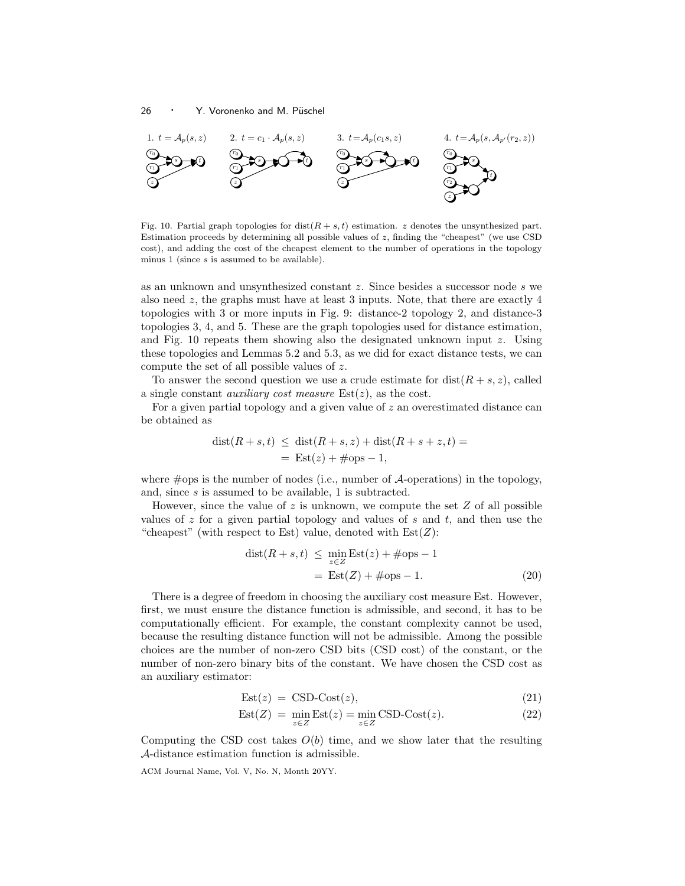

Fig. 10. Partial graph topologies for dist $(R + s, t)$  estimation. z denotes the unsynthesized part. Estimation proceeds by determining all possible values of  $z$ , finding the "cheapest" (we use CSD cost), and adding the cost of the cheapest element to the number of operations in the topology minus 1 (since s is assumed to be available).

as an unknown and unsynthesized constant z. Since besides a successor node s we also need z, the graphs must have at least 3 inputs. Note, that there are exactly 4 topologies with 3 or more inputs in Fig. 9: distance-2 topology 2, and distance-3 topologies 3, 4, and 5. These are the graph topologies used for distance estimation, and Fig. 10 repeats them showing also the designated unknown input  $z$ . Using these topologies and Lemmas 5.2 and 5.3, as we did for exact distance tests, we can compute the set of all possible values of z.

To answer the second question we use a crude estimate for  $dist(R + s, z)$ , called a single constant *auxiliary cost measure*  $Est(z)$ , as the cost.

For a given partial topology and a given value of  $z$  an overestimated distance can be obtained as

$$
dist(R+s,t) \leq dist(R+s,z) + dist(R+s+z,t) =
$$
  
= Est(z) + #ops - 1,

where  $\#$ ops is the number of nodes (i.e., number of  $\mathcal{A}$ -operations) in the topology, and, since s is assumed to be available, 1 is subtracted.

However, since the value of  $z$  is unknown, we compute the set  $Z$  of all possible values of  $z$  for a given partial topology and values of  $s$  and  $t$ , and then use the "cheapest" (with respect to Est) value, denoted with  $Est(Z)$ :

$$
dist(R + s, t) \le \min_{z \in Z} \text{Est}(z) + \text{\#ops} - 1
$$

$$
= \text{Est}(Z) + \text{\#ops} - 1.
$$
 (20)

There is a degree of freedom in choosing the auxiliary cost measure Est. However, first, we must ensure the distance function is admissible, and second, it has to be computationally efficient. For example, the constant complexity cannot be used, because the resulting distance function will not be admissible. Among the possible choices are the number of non-zero CSD bits (CSD cost) of the constant, or the number of non-zero binary bits of the constant. We have chosen the CSD cost as an auxiliary estimator:

$$
Est(z) = CSD-Cost(z), \qquad (21)
$$

$$
Est(Z) = \min_{z \in Z} Est(z) = \min_{z \in Z} CSD-Cost(z).
$$
 (22)

Computing the CSD cost takes  $O(b)$  time, and we show later that the resulting A-distance estimation function is admissible.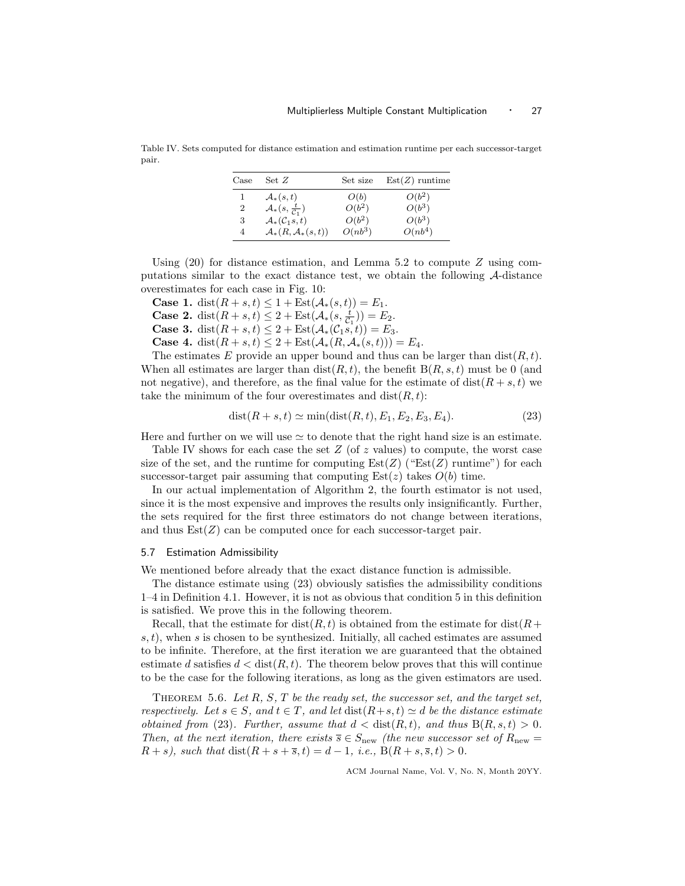Table IV. Sets computed for distance estimation and estimation runtime per each successor-target pair.

| Case         | Set Z                                       | Set size  | $Est(Z)$ runtime |
|--------------|---------------------------------------------|-----------|------------------|
| $\mathbf{I}$ | $\mathcal{A}_*(s,t)$                        | O(b)      | $O(b^2)$         |
| 2            | $\mathcal{A}_*(s, \frac{t}{\mathcal{C}_1})$ | $O(b^2)$  | $O(b^3)$         |
| 3            | $\mathcal{A}_*(\mathcal{C}_1,s,t)$          | $O(b^2)$  | $O(b^3)$         |
| 4            | $\mathcal{A}_*(R,\mathcal{A}_*(s,t))$       | $O(nb^3)$ | $O(nb^4)$        |

Using  $(20)$  for distance estimation, and Lemma 5.2 to compute Z using computations similar to the exact distance test, we obtain the following A-distance overestimates for each case in Fig. 10:

**Case 1.** dist $(R + s, t) \leq 1 + \text{Est}(\mathcal{A}_*(s, t)) = E_1$ .

**Case 2.** dist $(R + s, t) \leq 2 + \text{Est}(\mathcal{A}_*(s, \frac{t}{C_1})) = E_2.$ 

**Case 3.** dist $(R + s, t) \leq 2 + \text{Est}(\mathcal{A}_*(\mathcal{C}_1 s, t)) = E_3.$ 

**Case 4.** dist $(R + s, t) \leq 2 + \text{Est}(\mathcal{A}_*(R, \mathcal{A}_*(s, t))) = E_4.$ 

The estimates E provide an upper bound and thus can be larger than  $dist(R, t)$ . When all estimates are larger than  $dist(R, t)$ , the benefit  $B(R, s, t)$  must be 0 (and not negative), and therefore, as the final value for the estimate of  $dist(R + s, t)$  we take the minimum of the four overestimates and  $dist(R, t)$ :

$$
dist(R + s, t) \simeq min(dist(R, t), E_1, E_2, E_3, E_4). \tag{23}
$$

Here and further on we will use  $\simeq$  to denote that the right hand size is an estimate.

Table IV shows for each case the set  $Z$  (of  $z$  values) to compute, the worst case size of the set, and the runtime for computing  $Est(Z)$  (" $Est(Z)$  runtime") for each successor-target pair assuming that computing  $Est(z)$  takes  $O(b)$  time.

In our actual implementation of Algorithm 2, the fourth estimator is not used, since it is the most expensive and improves the results only insignificantly. Further, the sets required for the first three estimators do not change between iterations, and thus  $Est(Z)$  can be computed once for each successor-target pair.

## 5.7 Estimation Admissibility

We mentioned before already that the exact distance function is admissible.

The distance estimate using (23) obviously satisfies the admissibility conditions 1–4 in Definition 4.1. However, it is not as obvious that condition 5 in this definition is satisfied. We prove this in the following theorem.

Recall, that the estimate for  $dist(R, t)$  is obtained from the estimate for  $dist(R+$  $s, t$ , when s is chosen to be synthesized. Initially, all cached estimates are assumed to be infinite. Therefore, at the first iteration we are guaranteed that the obtained estimate d satisfies  $d < \text{dist}(R, t)$ . The theorem below proves that this will continue to be the case for the following iterations, as long as the given estimators are used.

THEOREM 5.6. Let  $R$ ,  $S$ ,  $T$  be the ready set, the successor set, and the target set, respectively. Let  $s \in S$ , and  $t \in T$ , and let  $dist(R+s,t) \simeq d$  be the distance estimate *obtained from* (23). Further, assume that  $d < \text{dist}(R, t)$ , and thus  $B(R, s, t) > 0$ . Then, at the next iteration, there exists  $\overline{s} \in S_{\text{new}}$  (the new successor set of  $R_{\text{new}} =$  $R + s$ , such that  $dist(R + s + \overline{s}, t) = d - 1$ , i.e.,  $B(R + s, \overline{s}, t) > 0$ .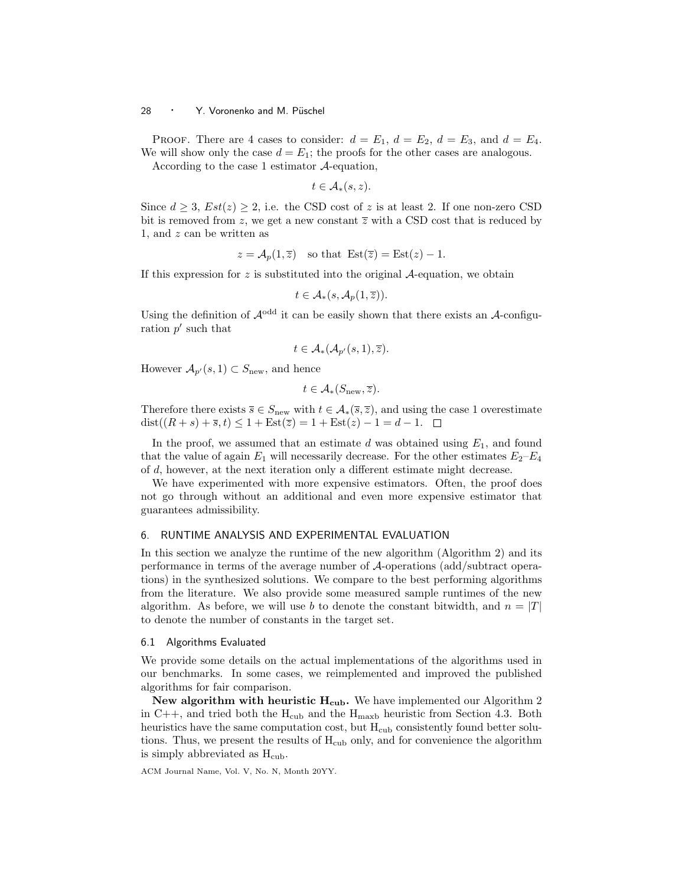PROOF. There are 4 cases to consider:  $d = E_1$ ,  $d = E_2$ ,  $d = E_3$ , and  $d = E_4$ . We will show only the case  $d = E_1$ ; the proofs for the other cases are analogous.

According to the case 1 estimator A-equation,

$$
t\in \mathcal{A}_*(s,z).
$$

Since  $d \geq 3$ ,  $Est(z) \geq 2$ , i.e. the CSD cost of z is at least 2. If one non-zero CSD bit is removed from z, we get a new constant  $\overline{z}$  with a CSD cost that is reduced by 1, and z can be written as

$$
z = \mathcal{A}_p(1, \overline{z})
$$
 so that  $Est(\overline{z}) = Est(z) - 1$ .

If this expression for z is substituted into the original  $\mathcal{A}$ -equation, we obtain

$$
t\in \mathcal{A}_*(s,\mathcal{A}_p(1,\overline{z})).
$$

Using the definition of  $\mathcal{A}^{\text{odd}}$  it can be easily shown that there exists an  $\mathcal{A}$ -configuration  $p'$  such that

$$
t\in \mathcal{A}_*(\mathcal{A}_{p'}(s,1),\overline{z}).
$$

However  $\mathcal{A}_{p'}(s,1) \subset S_{\text{new}}$ , and hence

$$
t\in \mathcal{A}_*(S_{\text{new}},\overline{z}).
$$

Therefore there exists  $\overline{s} \in S_{\text{new}}$  with  $t \in A_*(\overline{s}, \overline{z})$ , and using the case 1 overestimate dist $((R + s) + \overline{s}, t) \leq 1 + \text{Est}(\overline{z}) = 1 + \text{Est}(z) - 1 = d - 1.$ 

In the proof, we assumed that an estimate  $d$  was obtained using  $E_1$ , and found that the value of again  $E_1$  will necessarily decrease. For the other estimates  $E_2-E_4$ of d, however, at the next iteration only a different estimate might decrease.

We have experimented with more expensive estimators. Often, the proof does not go through without an additional and even more expensive estimator that guarantees admissibility.

# 6. RUNTIME ANALYSIS AND EXPERIMENTAL EVALUATION

In this section we analyze the runtime of the new algorithm (Algorithm 2) and its performance in terms of the average number of A-operations (add/subtract operations) in the synthesized solutions. We compare to the best performing algorithms from the literature. We also provide some measured sample runtimes of the new algorithm. As before, we will use b to denote the constant bitwidth, and  $n = |T|$ to denote the number of constants in the target set.

#### 6.1 Algorithms Evaluated

We provide some details on the actual implementations of the algorithms used in our benchmarks. In some cases, we reimplemented and improved the published algorithms for fair comparison.

New algorithm with heuristic  $H_{\text{cub}}$ . We have implemented our Algorithm 2 in C++, and tried both the  $H_{\text{cub}}$  and the  $H_{\text{maxb}}$  heuristic from Section 4.3. Both heuristics have the same computation cost, but  $H_{\text{cub}}$  consistently found better solutions. Thus, we present the results of  $H_{\text{cub}}$  only, and for convenience the algorithm is simply abbreviated as  $H_{\text{cub}}$ .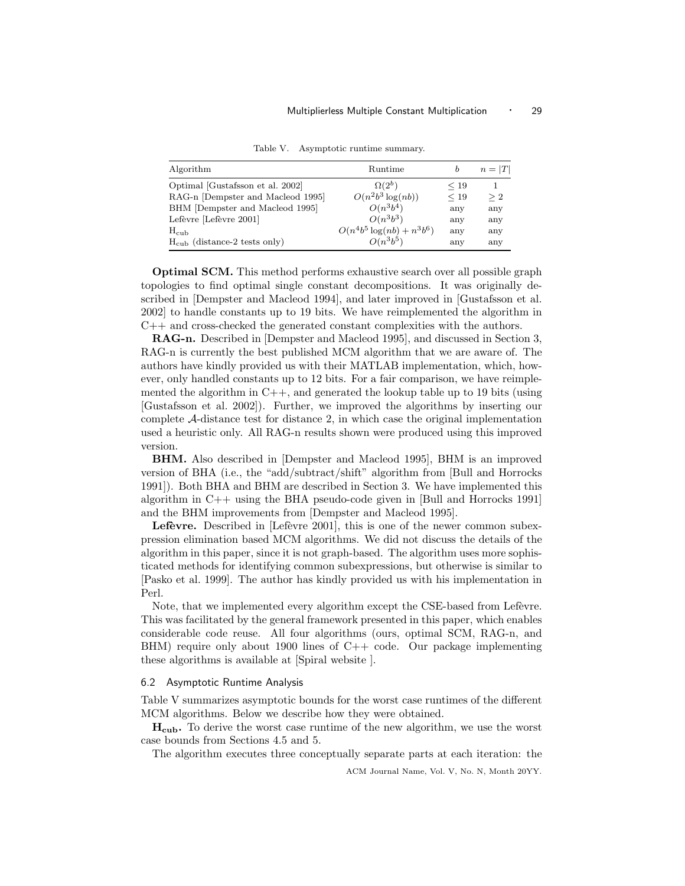| Algorithm                             | Runtime                       | b         | $n= T $  |
|---------------------------------------|-------------------------------|-----------|----------|
| Optimal [Gustafsson et al. 2002]      | $\Omega(2^b)$                 | $\leq 19$ |          |
| RAG-n [Dempster and Macleod 1995]     | $O(n^2b^3\log(nb))$           | < 19      | $\geq 2$ |
| BHM [Dempster and Macleod 1995]       | $O(n^3b^4)$                   | any       | any      |
| Lefèvre [Lefèvre 2001]                | $O(n^3b^3)$                   | any       | any      |
| $H_{\rm cub}$                         | $O(n^4b^5 \log(nb) + n^3b^6)$ | any       | any      |
| $H_{\rm cub}$ (distance-2 tests only) | $O(n^3b^5)$                   | any       | any      |

Table V. Asymptotic runtime summary.

Optimal SCM. This method performs exhaustive search over all possible graph topologies to find optimal single constant decompositions. It was originally described in [Dempster and Macleod 1994], and later improved in [Gustafsson et al. 2002] to handle constants up to 19 bits. We have reimplemented the algorithm in C++ and cross-checked the generated constant complexities with the authors.

RAG-n. Described in [Dempster and Macleod 1995], and discussed in Section 3, RAG-n is currently the best published MCM algorithm that we are aware of. The authors have kindly provided us with their MATLAB implementation, which, however, only handled constants up to 12 bits. For a fair comparison, we have reimplemented the algorithm in  $C_{++}$ , and generated the lookup table up to 19 bits (using [Gustafsson et al. 2002]). Further, we improved the algorithms by inserting our complete A-distance test for distance 2, in which case the original implementation used a heuristic only. All RAG-n results shown were produced using this improved version.

BHM. Also described in [Dempster and Macleod 1995], BHM is an improved version of BHA (i.e., the "add/subtract/shift" algorithm from [Bull and Horrocks 1991]). Both BHA and BHM are described in Section 3. We have implemented this algorithm in C++ using the BHA pseudo-code given in [Bull and Horrocks 1991] and the BHM improvements from [Dempster and Macleod 1995].

**Lefèvre.** Described in [Lefèvre 2001], this is one of the newer common subexpression elimination based MCM algorithms. We did not discuss the details of the algorithm in this paper, since it is not graph-based. The algorithm uses more sophisticated methods for identifying common subexpressions, but otherwise is similar to [Pasko et al. 1999]. The author has kindly provided us with his implementation in Perl.

Note, that we implemented every algorithm except the CSE-based from Lefevre. This was facilitated by the general framework presented in this paper, which enables considerable code reuse. All four algorithms (ours, optimal SCM, RAG-n, and  $BHM$ ) require only about 1900 lines of  $C++$  code. Our package implementing these algorithms is available at [Spiral website ].

## 6.2 Asymptotic Runtime Analysis

Table V summarizes asymptotic bounds for the worst case runtimes of the different MCM algorithms. Below we describe how they were obtained.

 $H_{\text{cub}}$ . To derive the worst case runtime of the new algorithm, we use the worst case bounds from Sections 4.5 and 5.

The algorithm executes three conceptually separate parts at each iteration: the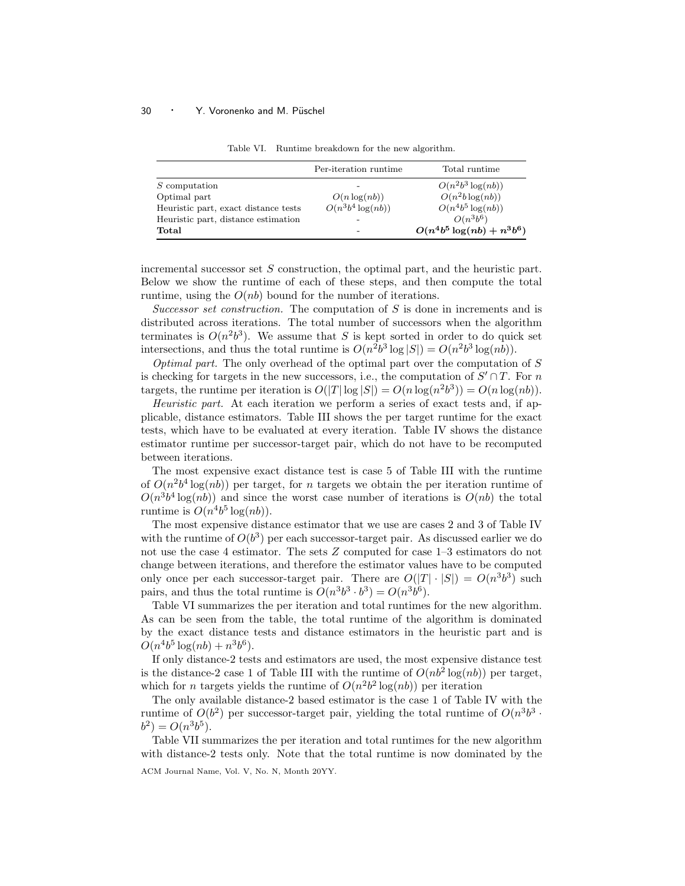|                                      | Per-iteration runtime | Total runtime                 |
|--------------------------------------|-----------------------|-------------------------------|
| <i>S</i> computation                 |                       | $O(n^2b^3\log(nb))$           |
| Optimal part                         | $O(n \log(nb))$       | $O(n^2b \log(nb))$            |
| Heuristic part, exact distance tests | $O(n^3b^4 \log(nb))$  | $O(n^4b^5\log(nb))$           |
| Heuristic part, distance estimation  |                       | $O(n^3b^6)$                   |
| Total                                |                       | $O(n^4b^5 \log(nb) + n^3b^6)$ |

Table VI. Runtime breakdown for the new algorithm.

incremental successor set  $S$  construction, the optimal part, and the heuristic part. Below we show the runtime of each of these steps, and then compute the total runtime, using the  $O(nb)$  bound for the number of iterations.

Successor set construction. The computation of S is done in increments and is distributed across iterations. The total number of successors when the algorithm terminates is  $O(n^2b^3)$ . We assume that S is kept sorted in order to do quick set intersections, and thus the total runtime is  $O(n^2b^3 \log |S|) = O(n^2b^3 \log(nb)).$ 

*Optimal part.* The only overhead of the optimal part over the computation of  $S$ is checking for targets in the new successors, i.e., the computation of  $S' \cap T$ . For n targets, the runtime per iteration is  $O(|T|\log |S|) = O(n \log(n^2 b^3)) = O(n \log (nb)).$ 

Heuristic part. At each iteration we perform a series of exact tests and, if applicable, distance estimators. Table III shows the per target runtime for the exact tests, which have to be evaluated at every iteration. Table IV shows the distance estimator runtime per successor-target pair, which do not have to be recomputed between iterations.

The most expensive exact distance test is case 5 of Table III with the runtime of  $O(n^2b^4 \log(nb))$  per target, for *n* targets we obtain the per iteration runtime of  $O(n^3b^4 \log(nb))$  and since the worst case number of iterations is  $O(nb)$  the total runtime is  $O(n^4b^5 \log(nb)).$ 

The most expensive distance estimator that we use are cases 2 and 3 of Table IV with the runtime of  $O(b^3)$  per each successor-target pair. As discussed earlier we do not use the case 4 estimator. The sets Z computed for case 1–3 estimators do not change between iterations, and therefore the estimator values have to be computed only once per each successor-target pair. There are  $O(|T| \cdot |S|) = O(n^3b^3)$  such pairs, and thus the total runtime is  $O(n^3b^3 \cdot b^3) = O(n^3b^6)$ .

Table VI summarizes the per iteration and total runtimes for the new algorithm. As can be seen from the table, the total runtime of the algorithm is dominated by the exact distance tests and distance estimators in the heuristic part and is  $O(n^4b^5 \log(nb) + n^3b^6).$ 

If only distance-2 tests and estimators are used, the most expensive distance test is the distance-2 case 1 of Table III with the runtime of  $O(n b^2 \log(n b))$  per target, which for *n* targets yields the runtime of  $O(n^2b^2 \log(nb))$  per iteration

The only available distance-2 based estimator is the case 1 of Table IV with the runtime of  $O(b^2)$  per successor-target pair, yielding the total runtime of  $O(n^3b^3 \cdot$  $b^2$ ) =  $O(n^3b^5)$ .

Table VII summarizes the per iteration and total runtimes for the new algorithm with distance-2 tests only. Note that the total runtime is now dominated by the ACM Journal Name, Vol. V, No. N, Month 20YY.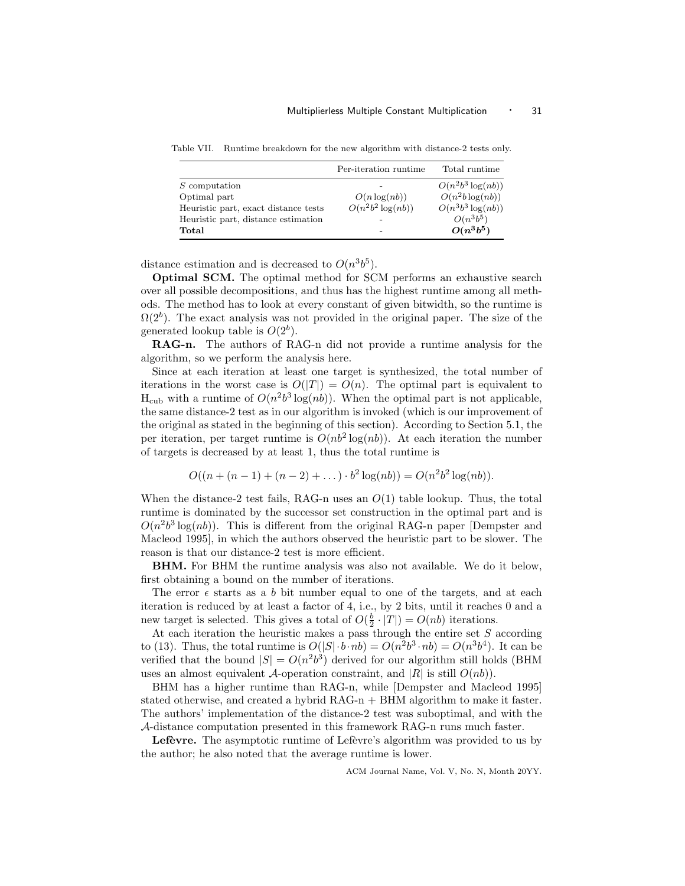Table VII. Runtime breakdown for the new algorithm with distance-2 tests only.

|                                      | Per-iteration runtime | Total runtime       |
|--------------------------------------|-----------------------|---------------------|
| <i>S</i> computation                 |                       | $O(n^2b^3\log(nb))$ |
| Optimal part                         | $O(n \log(nb))$       | $O(n^2b \log(nb))$  |
| Heuristic part, exact distance tests | $O(n^2b^2 \log(nb))$  | $O(n^3b^3\log(nb))$ |
| Heuristic part, distance estimation  |                       | $O(n^3b^5)$         |
| Total                                |                       | $O(n^3b^5)$         |

distance estimation and is decreased to  $O(n^3b^5)$ .

Optimal SCM. The optimal method for SCM performs an exhaustive search over all possible decompositions, and thus has the highest runtime among all methods. The method has to look at every constant of given bitwidth, so the runtime is  $\Omega(2^b)$ . The exact analysis was not provided in the original paper. The size of the generated lookup table is  $O(2<sup>b</sup>)$ .

RAG-n. The authors of RAG-n did not provide a runtime analysis for the algorithm, so we perform the analysis here.

Since at each iteration at least one target is synthesized, the total number of iterations in the worst case is  $O(|T|) = O(n)$ . The optimal part is equivalent to  $H_{\text{cub}}$  with a runtime of  $O(n^2b^3 \log(n b))$ . When the optimal part is not applicable, the same distance-2 test as in our algorithm is invoked (which is our improvement of the original as stated in the beginning of this section). According to Section 5.1, the per iteration, per target runtime is  $O(nb^2 \log(n b))$ . At each iteration the number of targets is decreased by at least 1, thus the total runtime is

$$
O((n + (n - 1) + (n - 2) + \dots) \cdot b^{2} \log(nb)) = O(n^{2}b^{2} \log(nb)).
$$

When the distance-2 test fails, RAG-n uses an  $O(1)$  table lookup. Thus, the total runtime is dominated by the successor set construction in the optimal part and is  $O(n^2b^3 \log(nb))$ . This is different from the original RAG-n paper [Dempster and Macleod 1995], in which the authors observed the heuristic part to be slower. The reason is that our distance-2 test is more efficient.

BHM. For BHM the runtime analysis was also not available. We do it below, first obtaining a bound on the number of iterations.

The error  $\epsilon$  starts as a b bit number equal to one of the targets, and at each iteration is reduced by at least a factor of 4, i.e., by 2 bits, until it reaches 0 and a new target is selected. This gives a total of  $O(\frac{b}{2} \cdot |T|) = O(nb)$  iterations.

At each iteration the heuristic makes a pass through the entire set  $S$  according to (13). Thus, the total runtime is  $O(|S| \cdot b \cdot nb) = O(n^2b^3 \cdot nb) = O(n^3b^4)$ . It can be verified that the bound  $|S| = O(n^2b^3)$  derived for our algorithm still holds (BHM uses an almost equivalent A-operation constraint, and  $|R|$  is still  $O(nb)$ .

BHM has a higher runtime than RAG-n, while [Dempster and Macleod 1995] stated otherwise, and created a hybrid RAG-n + BHM algorithm to make it faster. The authors' implementation of the distance-2 test was suboptimal, and with the A-distance computation presented in this framework RAG-n runs much faster.

Lefevre. The asymptotic runtime of Lefevre's algorithm was provided to us by the author; he also noted that the average runtime is lower.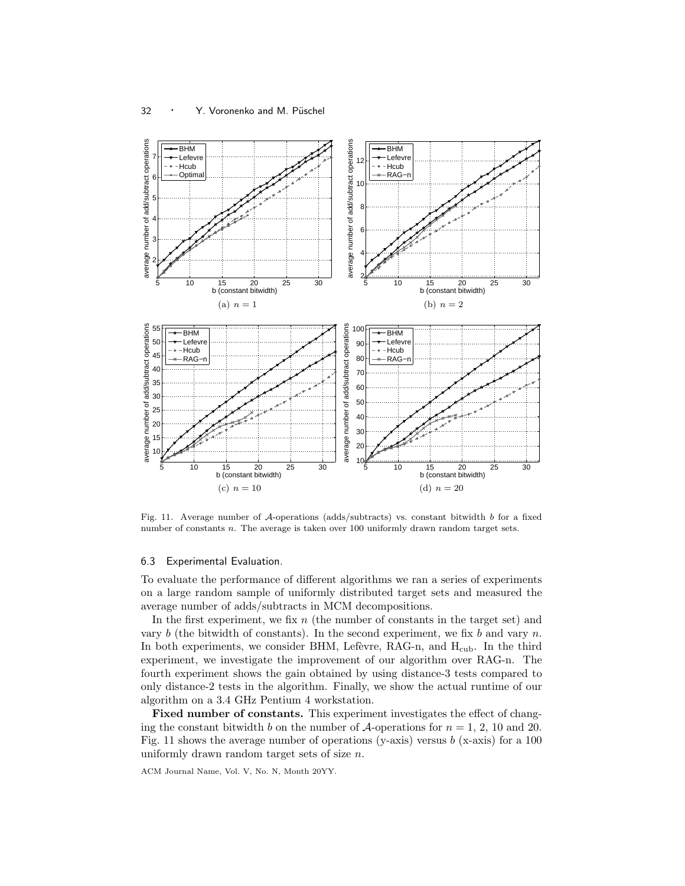

Fig. 11. Average number of A-operations (adds/subtracts) vs. constant bitwidth b for a fixed number of constants n. The average is taken over 100 uniformly drawn random target sets.

## 6.3 Experimental Evaluation.

To evaluate the performance of different algorithms we ran a series of experiments on a large random sample of uniformly distributed target sets and measured the average number of adds/subtracts in MCM decompositions.

In the first experiment, we fix  $n$  (the number of constants in the target set) and vary b (the bitwidth of constants). In the second experiment, we fix b and vary n. In both experiments, we consider BHM, Lefèvre, RAG-n, and  $H_{\text{cub}}$ . In the third experiment, we investigate the improvement of our algorithm over RAG-n. The fourth experiment shows the gain obtained by using distance-3 tests compared to only distance-2 tests in the algorithm. Finally, we show the actual runtime of our algorithm on a 3.4 GHz Pentium 4 workstation.

Fixed number of constants. This experiment investigates the effect of changing the constant bitwidth b on the number of  $\mathcal{A}$ -operations for  $n = 1, 2, 10$  and 20. Fig. 11 shows the average number of operations (y-axis) versus b (x-axis) for a 100 uniformly drawn random target sets of size  $n$ .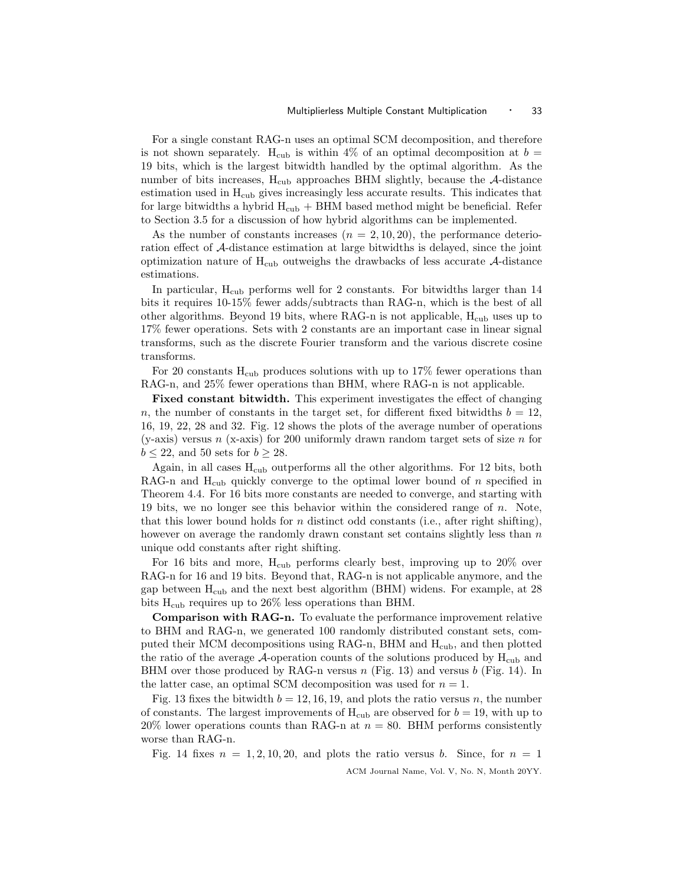For a single constant RAG-n uses an optimal SCM decomposition, and therefore is not shown separately. H<sub>cub</sub> is within 4% of an optimal decomposition at  $b =$ 19 bits, which is the largest bitwidth handled by the optimal algorithm. As the number of bits increases,  $H_{\text{cub}}$  approaches BHM slightly, because the  $\mathcal{A}\text{-distance}$ estimation used in  $H_{\rm cub}$  gives increasingly less accurate results. This indicates that for large bitwidths a hybrid  $H_{\rm cub}$  + BHM based method might be beneficial. Refer to Section 3.5 for a discussion of how hybrid algorithms can be implemented.

As the number of constants increases  $(n = 2, 10, 20)$ , the performance deterioration effect of A-distance estimation at large bitwidths is delayed, since the joint optimization nature of  $H_{\text{cub}}$  outweighs the drawbacks of less accurate A-distance estimations.

In particular, H<sub>cub</sub> performs well for 2 constants. For bitwidths larger than 14 bits it requires 10-15% fewer adds/subtracts than RAG-n, which is the best of all other algorithms. Beyond 19 bits, where RAG-n is not applicable,  $H_{\text{cub}}$  uses up to 17% fewer operations. Sets with 2 constants are an important case in linear signal transforms, such as the discrete Fourier transform and the various discrete cosine transforms.

For 20 constants  $H_{\text{cub}}$  produces solutions with up to 17% fewer operations than RAG-n, and 25% fewer operations than BHM, where RAG-n is not applicable.

Fixed constant bitwidth. This experiment investigates the effect of changing n, the number of constants in the target set, for different fixed bitwidths  $b = 12$ , 16, 19, 22, 28 and 32. Fig. 12 shows the plots of the average number of operations (y-axis) versus n (x-axis) for 200 uniformly drawn random target sets of size n for  $b \leq 22$ , and 50 sets for  $b \geq 28$ .

Again, in all cases  $H_{\text{cub}}$  outperforms all the other algorithms. For 12 bits, both RAG-n and  $H_{\text{cub}}$  quickly converge to the optimal lower bound of n specified in Theorem 4.4. For 16 bits more constants are needed to converge, and starting with 19 bits, we no longer see this behavior within the considered range of n. Note, that this lower bound holds for n distinct odd constants (i.e., after right shifting), however on average the randomly drawn constant set contains slightly less than  $n$ unique odd constants after right shifting.

For 16 bits and more,  $H_{\rm cub}$  performs clearly best, improving up to 20% over RAG-n for 16 and 19 bits. Beyond that, RAG-n is not applicable anymore, and the gap between  $H_{\text{cub}}$  and the next best algorithm (BHM) widens. For example, at 28 bits  $H_{\text{cub}}$  requires up to 26% less operations than BHM.

Comparison with RAG-n. To evaluate the performance improvement relative to BHM and RAG-n, we generated 100 randomly distributed constant sets, computed their MCM decompositions using RAG-n, BHM and  $H_{\text{cub}}$ , and then plotted the ratio of the average A-operation counts of the solutions produced by  $H_{\text{cub}}$  and BHM over those produced by RAG-n versus  $n$  (Fig. 13) and versus  $b$  (Fig. 14). In the latter case, an optimal SCM decomposition was used for  $n = 1$ .

Fig. 13 fixes the bitwidth  $b = 12, 16, 19$ , and plots the ratio versus n, the number of constants. The largest improvements of  $H_{\text{cub}}$  are observed for  $b = 19$ , with up to 20% lower operations counts than RAG-n at  $n = 80$ . BHM performs consistently worse than RAG-n.

Fig. 14 fixes  $n = 1, 2, 10, 20$ , and plots the ratio versus b. Since, for  $n = 1$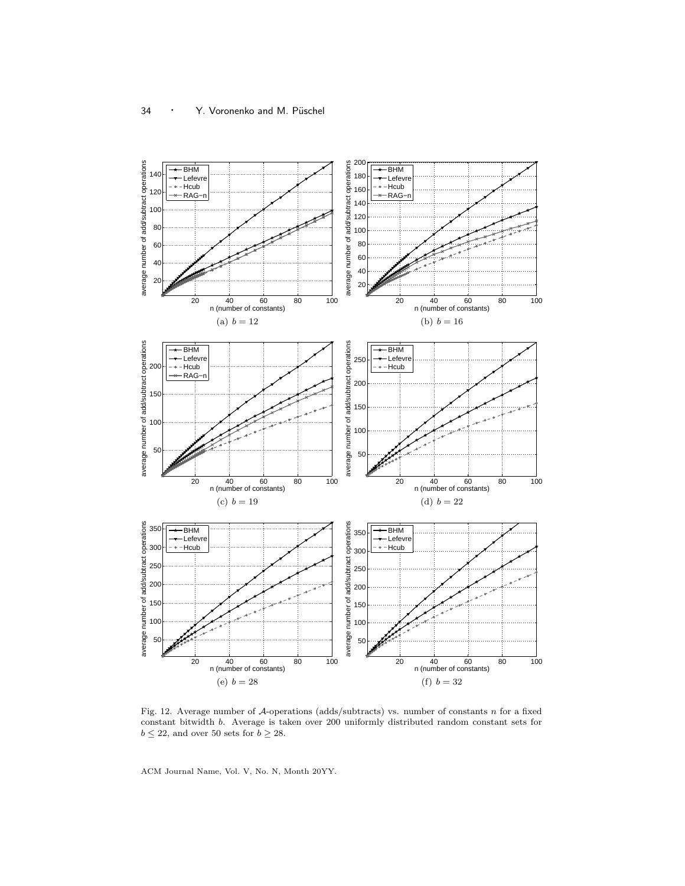

Fig. 12. Average number of A-operations (adds/subtracts) vs. number of constants n for a fixed constant bitwidth b. Average is taken over 200 uniformly distributed random constant sets for  $b \leq 22,$  and over 50 sets for  $b \geq 28.$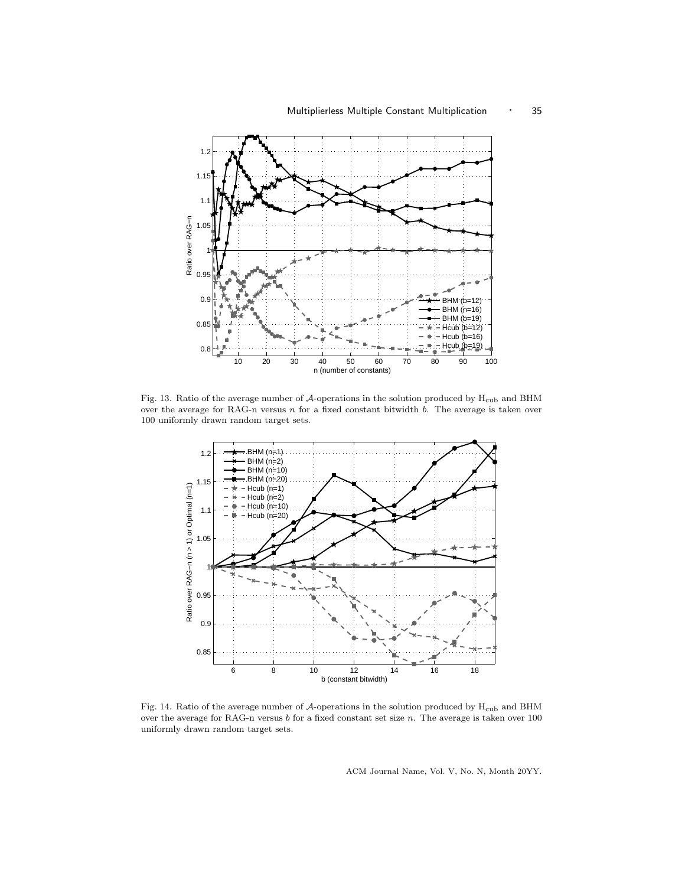

Fig. 13. Ratio of the average number of  $\mathcal{A}$ -operations in the solution produced by  $H_{\text{cub}}$  and BHM over the average for RAG-n versus  $n$  for a fixed constant bitwidth  $b$ . The average is taken over 100 uniformly drawn random target sets.



Fig. 14. Ratio of the average number of  $\mathcal A$  -operations in the solution produced by  $\mathcal H_{\rm cub}$  and BHM over the average for RAG-n versus b for a fixed constant set size n. The average is taken over 100 uniformly drawn random target sets.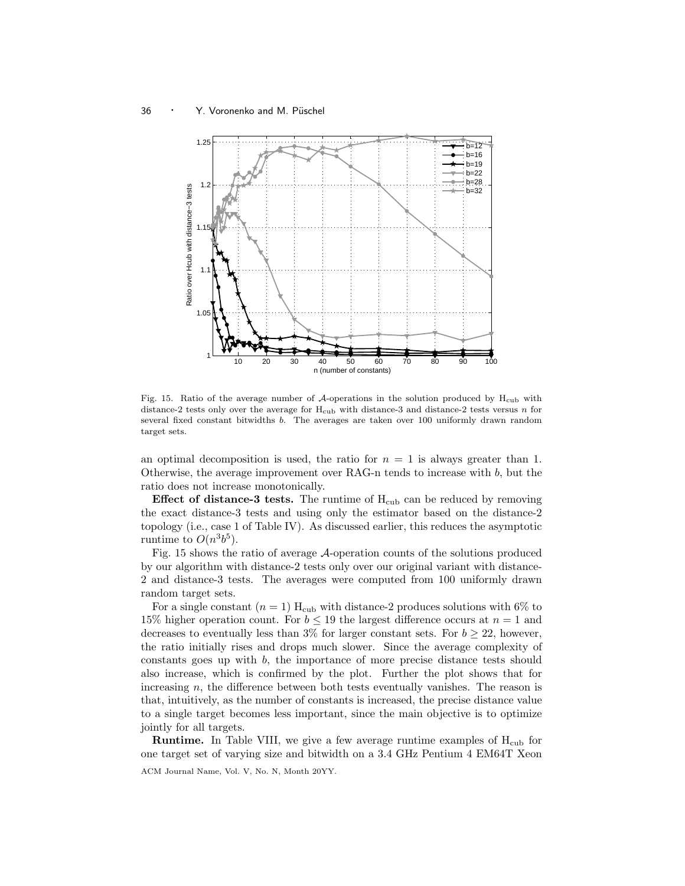

Fig. 15. Ratio of the average number of  $\mathcal{A}$ -operations in the solution produced by  $H_{\text{cub}}$  with distance-2 tests only over the average for  $H_{\text{cub}}$  with distance-3 and distance-2 tests versus n for several fixed constant bitwidths b. The averages are taken over 100 uniformly drawn random target sets.

an optimal decomposition is used, the ratio for  $n = 1$  is always greater than 1. Otherwise, the average improvement over RAG-n tends to increase with  $b$ , but the ratio does not increase monotonically.

**Effect of distance-3 tests.** The runtime of  $H_{\text{cub}}$  can be reduced by removing the exact distance-3 tests and using only the estimator based on the distance-2 topology (i.e., case 1 of Table IV). As discussed earlier, this reduces the asymptotic runtime to  $O(n^3b^5)$ .

Fig. 15 shows the ratio of average A-operation counts of the solutions produced by our algorithm with distance-2 tests only over our original variant with distance-2 and distance-3 tests. The averages were computed from 100 uniformly drawn random target sets.

For a single constant  $(n = 1)$  H<sub>cub</sub> with distance-2 produces solutions with 6% to 15% higher operation count. For  $b \le 19$  the largest difference occurs at  $n = 1$  and decreases to eventually less than 3% for larger constant sets. For  $b \geq 22$ , however, the ratio initially rises and drops much slower. Since the average complexity of constants goes up with  $b$ , the importance of more precise distance tests should also increase, which is confirmed by the plot. Further the plot shows that for increasing  $n$ , the difference between both tests eventually vanishes. The reason is that, intuitively, as the number of constants is increased, the precise distance value to a single target becomes less important, since the main objective is to optimize jointly for all targets.

**Runtime.** In Table VIII, we give a few average runtime examples of  $H_{\text{cub}}$  for one target set of varying size and bitwidth on a 3.4 GHz Pentium 4 EM64T Xeon ACM Journal Name, Vol. V, No. N, Month 20YY.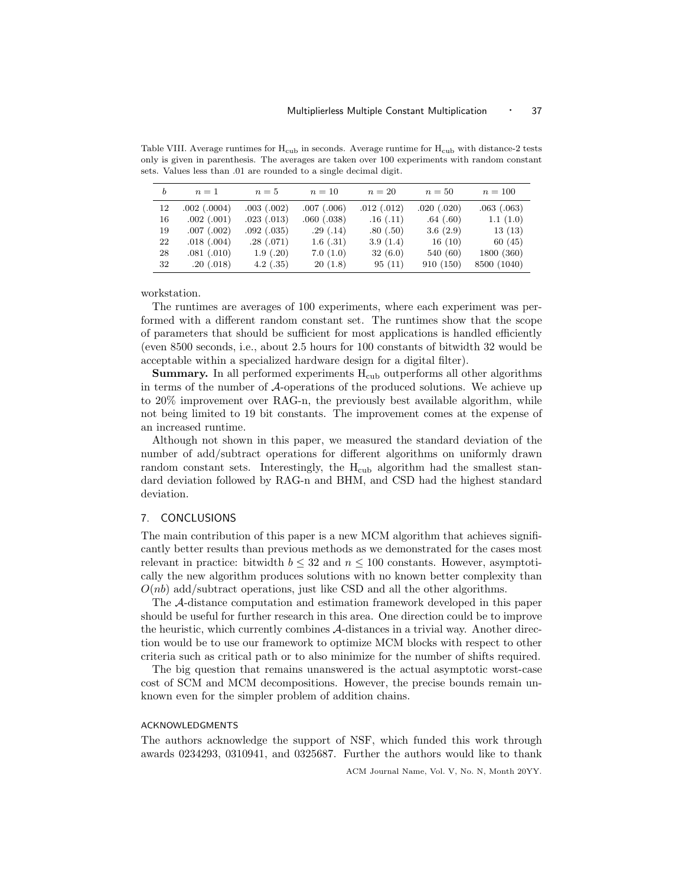Table VIII. Average runtimes for  $H_{\text{cub}}$  in seconds. Average runtime for  $H_{\text{cub}}$  with distance-2 tests only is given in parenthesis. The averages are taken over 100 experiments with random constant sets. Values less than .01 are rounded to a single decimal digit.

| b  | $n=1$            | $n=5$       | $n=10$          | $n=20$     | $n=50$     | $n = 100$   |
|----|------------------|-------------|-----------------|------------|------------|-------------|
| 12 | $.002$ $(.0004)$ | .003(.002)  | $.007$ $(.006)$ | .012(.012) | .020(.020) | .063(.063)  |
| 16 | .002(.001)       | .023(.013)  | .060(.038)      | .16(.11)   | .64(.60)   | 1.1(1.0)    |
| 19 | .007(.002)       | .092(.035)  | .29(.14)        | .80(.50)   | 3.6(2.9)   | 13(13)      |
| 22 | .018(.004)       | .28(.071)   | 1.6(.31)        | 3.9(1.4)   | 16(10)     | 60 $(45)$   |
| 28 | .081(.010)       | 1.9(0.20)   | 7.0(1.0)        | 32(6.0)    | 540(60)    | 1800 (360)  |
| 32 | .20(.018)        | $4.2$ (.35) | 20(1.8)         | 95(11)     | 910 (150)  | 8500 (1040) |

workstation.

The runtimes are averages of 100 experiments, where each experiment was performed with a different random constant set. The runtimes show that the scope of parameters that should be sufficient for most applications is handled efficiently (even 8500 seconds, i.e., about 2.5 hours for 100 constants of bitwidth 32 would be acceptable within a specialized hardware design for a digital filter).

**Summary.** In all performed experiments  $H_{\text{cub}}$  outperforms all other algorithms in terms of the number of A-operations of the produced solutions. We achieve up to 20% improvement over RAG-n, the previously best available algorithm, while not being limited to 19 bit constants. The improvement comes at the expense of an increased runtime.

Although not shown in this paper, we measured the standard deviation of the number of add/subtract operations for different algorithms on uniformly drawn random constant sets. Interestingly, the H<sub>cub</sub> algorithm had the smallest standard deviation followed by RAG-n and BHM, and CSD had the highest standard deviation.

## 7. CONCLUSIONS

The main contribution of this paper is a new MCM algorithm that achieves significantly better results than previous methods as we demonstrated for the cases most relevant in practice: bitwidth  $b \leq 32$  and  $n \leq 100$  constants. However, asymptotically the new algorithm produces solutions with no known better complexity than  $O(nb)$  add/subtract operations, just like CSD and all the other algorithms.

The A-distance computation and estimation framework developed in this paper should be useful for further research in this area. One direction could be to improve the heuristic, which currently combines A-distances in a trivial way. Another direction would be to use our framework to optimize MCM blocks with respect to other criteria such as critical path or to also minimize for the number of shifts required.

The big question that remains unanswered is the actual asymptotic worst-case cost of SCM and MCM decompositions. However, the precise bounds remain unknown even for the simpler problem of addition chains.

## ACKNOWLEDGMENTS

The authors acknowledge the support of NSF, which funded this work through awards 0234293, 0310941, and 0325687. Further the authors would like to thank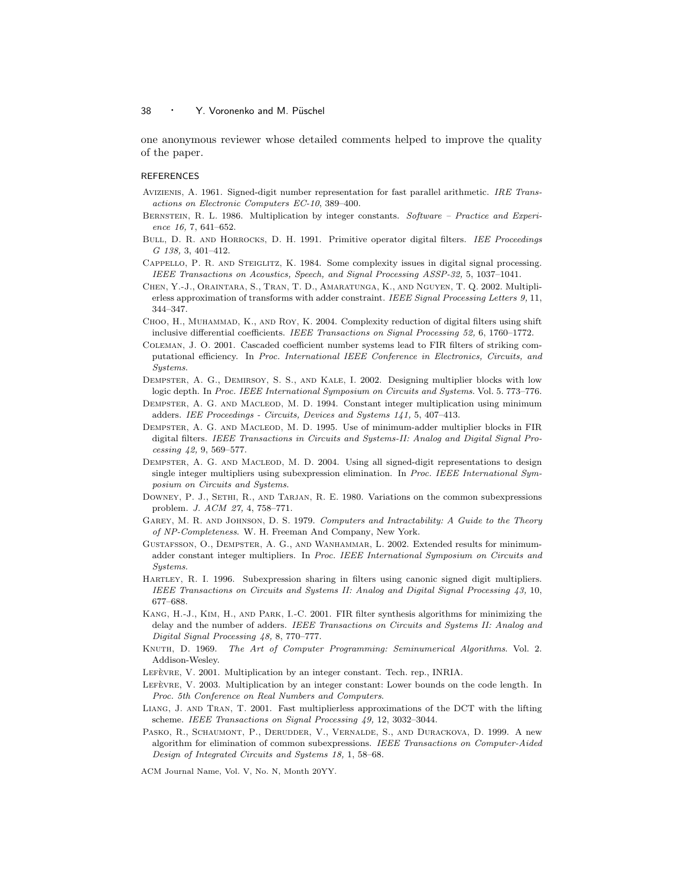one anonymous reviewer whose detailed comments helped to improve the quality of the paper.

#### REFERENCES

- Avizienis, A. 1961. Signed-digit number representation for fast parallel arithmetic. IRE Transactions on Electronic Computers EC-10, 389–400.
- BERNSTEIN, R. L. 1986. Multiplication by integer constants. Software Practice and Experience 16, 7, 641–652.
- BULL, D. R. AND HORROCKS, D. H. 1991. Primitive operator digital filters. IEE Proceedings G 138, 3, 401–412.
- Cappello, P. R. and Steiglitz, K. 1984. Some complexity issues in digital signal processing. IEEE Transactions on Acoustics, Speech, and Signal Processing ASSP-32, 5, 1037–1041.
- Chen, Y.-J., Oraintara, S., Tran, T. D., Amaratunga, K., and Nguyen, T. Q. 2002. Multiplierless approximation of transforms with adder constraint. IEEE Signal Processing Letters 9, 11, 344–347.
- CHOO, H., MUHAMMAD, K., AND ROY, K. 2004. Complexity reduction of digital filters using shift inclusive differential coefficients. IEEE Transactions on Signal Processing 52, 6, 1760–1772.
- Coleman, J. O. 2001. Cascaded coefficient number systems lead to FIR filters of striking computational efficiency. In Proc. International IEEE Conference in Electronics, Circuits, and Systems.
- Dempster, A. G., Demirsoy, S. S., and Kale, I. 2002. Designing multiplier blocks with low logic depth. In Proc. IEEE International Symposium on Circuits and Systems. Vol. 5. 773–776.
- Dempster, A. G. and Macleod, M. D. 1994. Constant integer multiplication using minimum adders. IEE Proceedings - Circuits, Devices and Systems 141, 5, 407–413.
- Dempster, A. G. and Macleod, M. D. 1995. Use of minimum-adder multiplier blocks in FIR digital filters. IEEE Transactions in Circuits and Systems-II: Analog and Digital Signal Processing 42, 9, 569–577.
- DEMPSTER, A. G. AND MACLEOD, M. D. 2004. Using all signed-digit representations to design single integer multipliers using subexpression elimination. In Proc. IEEE International Symposium on Circuits and Systems.
- DOWNEY, P. J., SETHI, R., AND TARJAN, R. E. 1980. Variations on the common subexpressions problem. J. ACM 27, 4, 758–771.
- GAREY, M. R. AND JOHNSON, D. S. 1979. Computers and Intractability: A Guide to the Theory of NP-Completeness. W. H. Freeman And Company, New York.
- Gustafsson, O., Dempster, A. G., and Wanhammar, L. 2002. Extended results for minimumadder constant integer multipliers. In Proc. IEEE International Symposium on Circuits and Systems.
- Hartley, R. I. 1996. Subexpression sharing in filters using canonic signed digit multipliers. IEEE Transactions on Circuits and Systems II: Analog and Digital Signal Processing 43, 10, 677–688.
- Kang, H.-J., Kim, H., and Park, I.-C. 2001. FIR filter synthesis algorithms for minimizing the delay and the number of adders. IEEE Transactions on Circuits and Systems II: Analog and Digital Signal Processing 48, 8, 770–777.
- Knuth, D. 1969. The Art of Computer Programming: Seminumerical Algorithms. Vol. 2. Addison-Wesley.
- LEFÈVRE, V. 2001. Multiplication by an integer constant. Tech. rep., INRIA.
- LEFÈVRE, V. 2003. Multiplication by an integer constant: Lower bounds on the code length. In Proc. 5th Conference on Real Numbers and Computers.
- Liang, J. and Tran, T. 2001. Fast multiplierless approximations of the DCT with the lifting scheme. IEEE Transactions on Signal Processing 49, 12, 3032–3044.
- Pasko, R., Schaumont, P., Derudder, V., Vernalde, S., and Durackova, D. 1999. A new algorithm for elimination of common subexpressions. IEEE Transactions on Computer-Aided Design of Integrated Circuits and Systems 18, 1, 58–68.